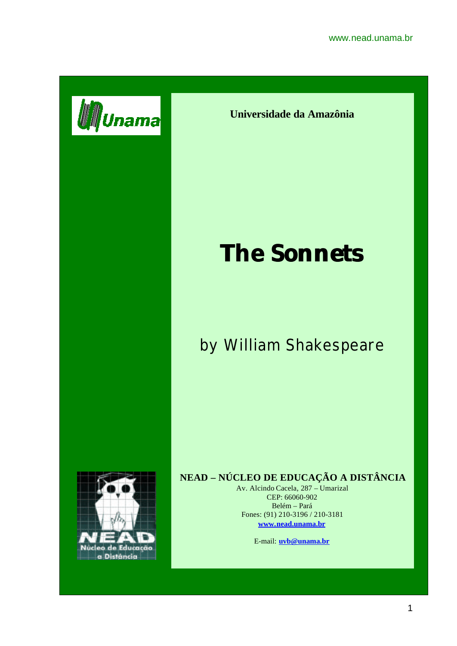www.nead.unama.br



**Universidade da Amazônia**

# **The Sonnets**

## by William Shakespeare



## **NEAD – NÚCLEO DE EDUCAÇÃO A DISTÂNCIA**

Av. Alcindo Cacela, 287 – Umarizal CEP: 66060-902 Belém – Pará Fones: (91) 210-3196 / 210-3181 **www.nead.unama.br**

E-mail: **uvb@unama.br**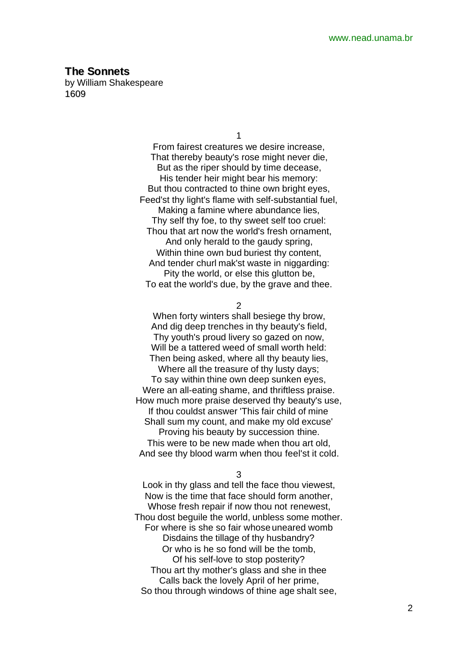## **The Sonnets**

by William Shakespeare 1609

1

From fairest creatures we desire increase, That thereby beauty's rose might never die, But as the riper should by time decease, His tender heir might bear his memory: But thou contracted to thine own bright eyes, Feed'st thy light's flame with self-substantial fuel, Making a famine where abundance lies, Thy self thy foe, to thy sweet self too cruel: Thou that art now the world's fresh ornament, And only herald to the gaudy spring, Within thine own bud buriest thy content, And tender churl mak'st waste in niggarding: Pity the world, or else this glutton be, To eat the world's due, by the grave and thee.

## 2

When forty winters shall besiege thy brow, And dig deep trenches in thy beauty's field, Thy youth's proud livery so gazed on now, Will be a tattered weed of small worth held: Then being asked, where all thy beauty lies, Where all the treasure of thy lusty days; To say within thine own deep sunken eyes,

Were an all-eating shame, and thriftless praise. How much more praise deserved thy beauty's use, If thou couldst answer 'This fair child of mine Shall sum my count, and make my old excuse' Proving his beauty by succession thine. This were to be new made when thou art old, And see thy blood warm when thou feel'st it cold.

3

Look in thy glass and tell the face thou viewest, Now is the time that face should form another, Whose fresh repair if now thou not renewest, Thou dost beguile the world, unbless some mother. For where is she so fair whose uneared womb Disdains the tillage of thy husbandry? Or who is he so fond will be the tomb, Of his self-love to stop posterity? Thou art thy mother's glass and she in thee Calls back the lovely April of her prime, So thou through windows of thine age shalt see,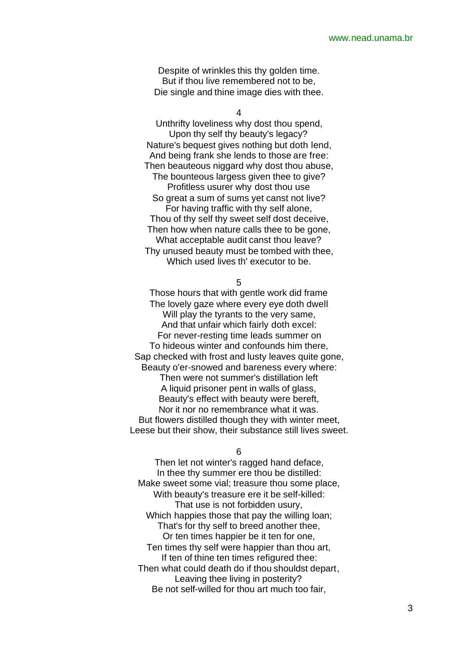Despite of wrinkles this thy golden time. But if thou live remembered not to be, Die single and thine image dies with thee.

4

Unthrifty loveliness why dost thou spend, Upon thy self thy beauty's legacy? Nature's bequest gives nothing but doth lend, And being frank she lends to those are free: Then beauteous niggard why dost thou abuse, The bounteous largess given thee to give? Profitless usurer why dost thou use So great a sum of sums yet canst not live? For having traffic with thy self alone, Thou of thy self thy sweet self dost deceive, Then how when nature calls thee to be gone, What acceptable audit canst thou leave? Thy unused beauty must be tombed with thee, Which used lives th' executor to be.

5

Those hours that with gentle work did frame The lovely gaze where every eye doth dwell Will play the tyrants to the very same, And that unfair which fairly doth excel: For never-resting time leads summer on To hideous winter and confounds him there, Sap checked with frost and lusty leaves quite gone, Beauty o'er-snowed and bareness every where: Then were not summer's distillation left A liquid prisoner pent in walls of glass, Beauty's effect with beauty were bereft, Nor it nor no remembrance what it was. But flowers distilled though they with winter meet, Leese but their show, their substance still lives sweet.

6

Then let not winter's ragged hand deface, In thee thy summer ere thou be distilled: Make sweet some vial; treasure thou some place, With beauty's treasure ere it be self-killed: That use is not forbidden usury, Which happies those that pay the willing loan; That's for thy self to breed another thee, Or ten times happier be it ten for one, Ten times thy self were happier than thou art, If ten of thine ten times refigured thee: Then what could death do if thou shouldst depart, Leaving thee living in posterity? Be not self-willed for thou art much too fair,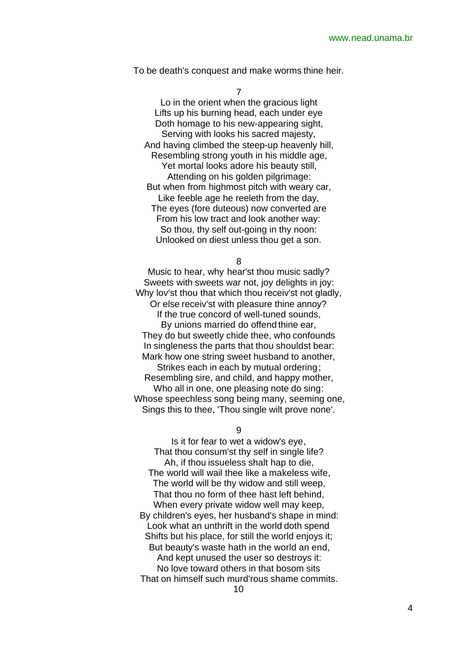To be death's conquest and make worms thine heir.

## 7

Lo in the orient when the gracious light Lifts up his burning head, each under eye Doth homage to his new-appearing sight, Serving with looks his sacred majesty, And having climbed the steep-up heavenly hill, Resembling strong youth in his middle age, Yet mortal looks adore his beauty still, Attending on his golden pilgrimage: But when from highmost pitch with weary car, Like feeble age he reeleth from the day, The eyes (fore duteous) now converted are From his low tract and look another way: So thou, thy self out-going in thy noon: Unlooked on diest unless thou get a son.

8

Music to hear, why hear'st thou music sadly? Sweets with sweets war not, joy delights in joy: Why lov'st thou that which thou receiv'st not gladly, Or else receiv'st with pleasure thine annoy? If the true concord of well-tuned sounds, By unions married do offend thine ear, They do but sweetly chide thee, who confounds In singleness the parts that thou shouldst bear: Mark how one string sweet husband to another, Strikes each in each by mutual ordering; Resembling sire, and child, and happy mother, Who all in one, one pleasing note do sing: Whose speechless song being many, seeming one, Sings this to thee, 'Thou single wilt prove none'.

9

Is it for fear to wet a widow's eye, That thou consum'st thy self in single life? Ah, if thou issueless shalt hap to die, The world will wail thee like a makeless wife, The world will be thy widow and still weep, That thou no form of thee hast left behind, When every private widow well may keep, By children's eyes, her husband's shape in mind: Look what an unthrift in the world doth spend Shifts but his place, for still the world enjoys it; But beauty's waste hath in the world an end, And kept unused the user so destroys it: No love toward others in that bosom sits That on himself such murd'rous shame commits.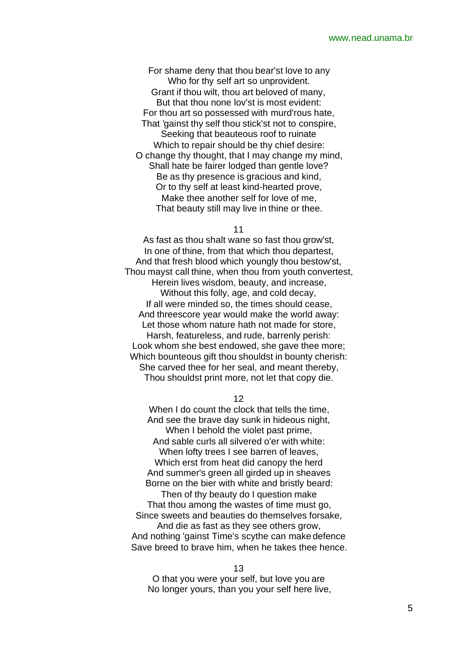For shame deny that thou bear'st love to any Who for thy self art so unprovident. Grant if thou wilt, thou art beloved of many, But that thou none lov'st is most evident: For thou art so possessed with murd'rous hate, That 'gainst thy self thou stick'st not to conspire, Seeking that beauteous roof to ruinate Which to repair should be thy chief desire: O change thy thought, that I may change my mind, Shall hate be fairer lodged than gentle love? Be as thy presence is gracious and kind, Or to thy self at least kind-hearted prove, Make thee another self for love of me, That beauty still may live in thine or thee.

11

As fast as thou shalt wane so fast thou grow'st, In one of thine, from that which thou departest, And that fresh blood which youngly thou bestow'st, Thou mayst call thine, when thou from youth convertest, Herein lives wisdom, beauty, and increase, Without this folly, age, and cold decay, If all were minded so, the times should cease, And threescore year would make the world away: Let those whom nature hath not made for store, Harsh, featureless, and rude, barrenly perish: Look whom she best endowed, she gave thee more; Which bounteous gift thou shouldst in bounty cherish: She carved thee for her seal, and meant thereby, Thou shouldst print more, not let that copy die.

12

When I do count the clock that tells the time, And see the brave day sunk in hideous night, When I behold the violet past prime, And sable curls all silvered o'er with white: When lofty trees I see barren of leaves, Which erst from heat did canopy the herd And summer's green all girded up in sheaves Borne on the bier with white and bristly beard: Then of thy beauty do I question make

That thou among the wastes of time must go, Since sweets and beauties do themselves forsake,

And die as fast as they see others grow, And nothing 'gainst Time's scythe can make defence Save breed to brave him, when he takes thee hence.

13

O that you were your self, but love you are No longer yours, than you your self here live,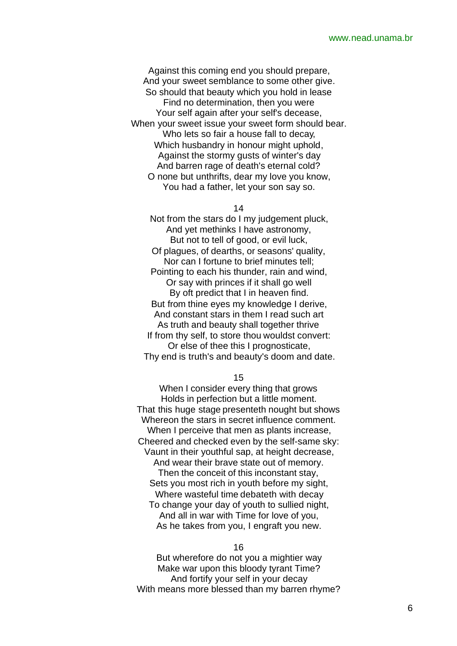Against this coming end you should prepare, And your sweet semblance to some other give. So should that beauty which you hold in lease Find no determination, then you were Your self again after your self's decease, When your sweet issue your sweet form should bear. Who lets so fair a house fall to decay, Which husbandry in honour might uphold, Against the stormy gusts of winter's day And barren rage of death's eternal cold? O none but unthrifts, dear my love you know, You had a father, let your son say so.

## 14

Not from the stars do I my judgement pluck, And yet methinks I have astronomy, But not to tell of good, or evil luck, Of plagues, of dearths, or seasons' quality, Nor can I fortune to brief minutes tell; Pointing to each his thunder, rain and wind, Or say with princes if it shall go well By oft predict that I in heaven find. But from thine eyes my knowledge I derive, And constant stars in them I read such art As truth and beauty shall together thrive If from thy self, to store thou wouldst convert: Or else of thee this I prognosticate, Thy end is truth's and beauty's doom and date.

15

When I consider every thing that grows Holds in perfection but a little moment. That this huge stage presenteth nought but shows Whereon the stars in secret influence comment. When I perceive that men as plants increase, Cheered and checked even by the self-same sky: Vaunt in their youthful sap, at height decrease, And wear their brave state out of memory. Then the conceit of this inconstant stay, Sets you most rich in youth before my sight, Where wasteful time debateth with decay To change your day of youth to sullied night, And all in war with Time for love of you, As he takes from you, I engraft you new.

## 16

But wherefore do not you a mightier way Make war upon this bloody tyrant Time? And fortify your self in your decay With means more blessed than my barren rhyme?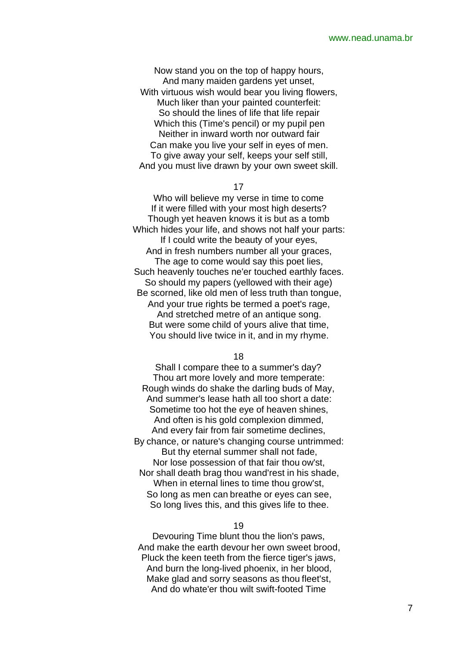Now stand you on the top of happy hours, And many maiden gardens yet unset, With virtuous wish would bear you living flowers. Much liker than your painted counterfeit: So should the lines of life that life repair Which this (Time's pencil) or my pupil pen Neither in inward worth nor outward fair Can make you live your self in eyes of men. To give away your self, keeps your self still, And you must live drawn by your own sweet skill.

17

Who will believe my verse in time to come If it were filled with your most high deserts? Though yet heaven knows it is but as a tomb Which hides your life, and shows not half your parts: If I could write the beauty of your eyes, And in fresh numbers number all your graces, The age to come would say this poet lies, Such heavenly touches ne'er touched earthly faces. So should my papers (yellowed with their age) Be scorned, like old men of less truth than tongue, And your true rights be termed a poet's rage, And stretched metre of an antique song. But were some child of yours alive that time, You should live twice in it, and in my rhyme.

18

Shall I compare thee to a summer's day? Thou art more lovely and more temperate: Rough winds do shake the darling buds of May, And summer's lease hath all too short a date: Sometime too hot the eye of heaven shines, And often is his gold complexion dimmed, And every fair from fair sometime declines, By chance, or nature's changing course untrimmed: But thy eternal summer shall not fade, Nor lose possession of that fair thou ow'st, Nor shall death brag thou wand'rest in his shade, When in eternal lines to time thou grow'st, So long as men can breathe or eyes can see, So long lives this, and this gives life to thee.

## 19

Devouring Time blunt thou the lion's paws, And make the earth devour her own sweet brood, Pluck the keen teeth from the fierce tiger's jaws, And burn the long-lived phoenix, in her blood, Make glad and sorry seasons as thou fleet'st, And do whate'er thou wilt swift-footed Time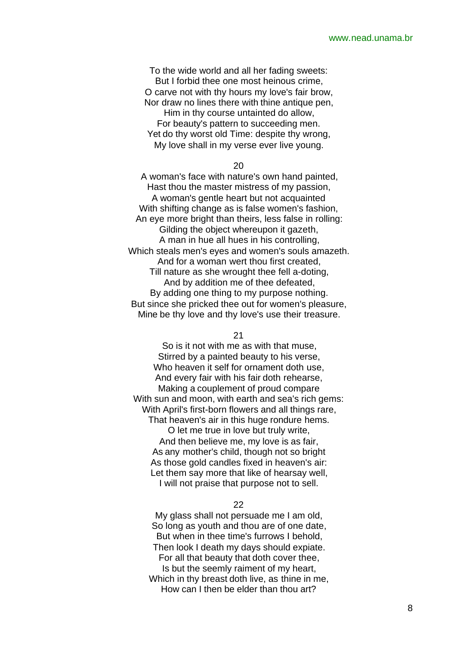To the wide world and all her fading sweets: But I forbid thee one most heinous crime, O carve not with thy hours my love's fair brow, Nor draw no lines there with thine antique pen, Him in thy course untainted do allow, For beauty's pattern to succeeding men. Yet do thy worst old Time: despite thy wrong, My love shall in my verse ever live young.

#### 20

A woman's face with nature's own hand painted, Hast thou the master mistress of my passion, A woman's gentle heart but not acquainted With shifting change as is false women's fashion, An eye more bright than theirs, less false in rolling: Gilding the object whereupon it gazeth, A man in hue all hues in his controlling, Which steals men's eyes and women's souls amazeth. And for a woman wert thou first created, Till nature as she wrought thee fell a-doting, And by addition me of thee defeated, By adding one thing to my purpose nothing. But since she pricked thee out for women's pleasure, Mine be thy love and thy love's use their treasure.

#### 21

So is it not with me as with that muse, Stirred by a painted beauty to his verse, Who heaven it self for ornament doth use, And every fair with his fair doth rehearse, Making a couplement of proud compare With sun and moon, with earth and sea's rich gems: With April's first-born flowers and all things rare, That heaven's air in this huge rondure hems.

O let me true in love but truly write, And then believe me, my love is as fair, As any mother's child, though not so bright As those gold candles fixed in heaven's air: Let them say more that like of hearsay well, I will not praise that purpose not to sell.

## 22

My glass shall not persuade me I am old, So long as youth and thou are of one date, But when in thee time's furrows I behold, Then look I death my days should expiate. For all that beauty that doth cover thee, Is but the seemly raiment of my heart, Which in thy breast doth live, as thine in me. How can I then be elder than thou art?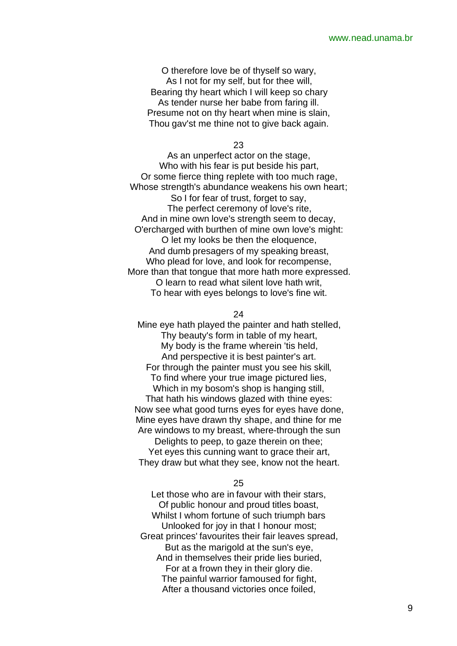O therefore love be of thyself so wary, As I not for my self, but for thee will, Bearing thy heart which I will keep so chary As tender nurse her babe from faring ill. Presume not on thy heart when mine is slain, Thou gav'st me thine not to give back again.

23

As an unperfect actor on the stage, Who with his fear is put beside his part, Or some fierce thing replete with too much rage, Whose strength's abundance weakens his own heart; So I for fear of trust, forget to say. The perfect ceremony of love's rite, And in mine own love's strength seem to decay, O'ercharged with burthen of mine own love's might: O let my looks be then the eloquence, And dumb presagers of my speaking breast, Who plead for love, and look for recompense, More than that tongue that more hath more expressed. O learn to read what silent love hath writ, To hear with eyes belongs to love's fine wit.

24

Mine eye hath played the painter and hath stelled, Thy beauty's form in table of my heart, My body is the frame wherein 'tis held, And perspective it is best painter's art. For through the painter must you see his skill, To find where your true image pictured lies, Which in my bosom's shop is hanging still, That hath his windows glazed with thine eyes: Now see what good turns eyes for eyes have done, Mine eyes have drawn thy shape, and thine for me Are windows to my breast, where-through the sun Delights to peep, to gaze therein on thee;

Yet eyes this cunning want to grace their art, They draw but what they see, know not the heart.

25

Let those who are in favour with their stars, Of public honour and proud titles boast, Whilst I whom fortune of such triumph bars Unlooked for joy in that I honour most; Great princes' favourites their fair leaves spread, But as the marigold at the sun's eye, And in themselves their pride lies buried, For at a frown they in their glory die. The painful warrior famoused for fight, After a thousand victories once foiled,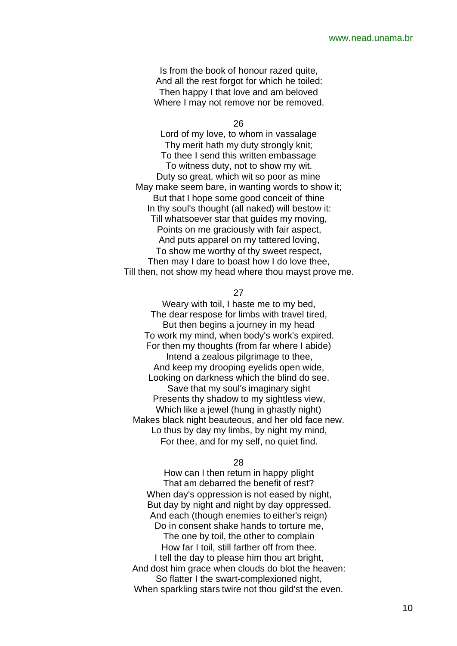Is from the book of honour razed quite, And all the rest forgot for which he toiled: Then happy I that love and am beloved Where I may not remove nor be removed.

26

Lord of my love, to whom in vassalage Thy merit hath my duty strongly knit; To thee I send this written embassage To witness duty, not to show my wit. Duty so great, which wit so poor as mine May make seem bare, in wanting words to show it; But that I hope some good conceit of thine In thy soul's thought (all naked) will bestow it: Till whatsoever star that guides my moving, Points on me graciously with fair aspect, And puts apparel on my tattered loving, To show me worthy of thy sweet respect, Then may I dare to boast how I do love thee, Till then, not show my head where thou mayst prove me.

#### 27

Weary with toil, I haste me to my bed, The dear respose for limbs with travel tired, But then begins a journey in my head To work my mind, when body's work's expired. For then my thoughts (from far where I abide) Intend a zealous pilgrimage to thee, And keep my drooping eyelids open wide, Looking on darkness which the blind do see. Save that my soul's imaginary sight Presents thy shadow to my sightless view, Which like a jewel (hung in ghastly night) Makes black night beauteous, and her old face new. Lo thus by day my limbs, by night my mind, For thee, and for my self, no quiet find.

28

How can I then return in happy plight That am debarred the benefit of rest? When day's oppression is not eased by night, But day by night and night by day oppressed. And each (though enemies to either's reign) Do in consent shake hands to torture me, The one by toil, the other to complain How far I toil, still farther off from thee. I tell the day to please him thou art bright, And dost him grace when clouds do blot the heaven: So flatter I the swart-complexioned night, When sparkling stars twire not thou gild'st the even.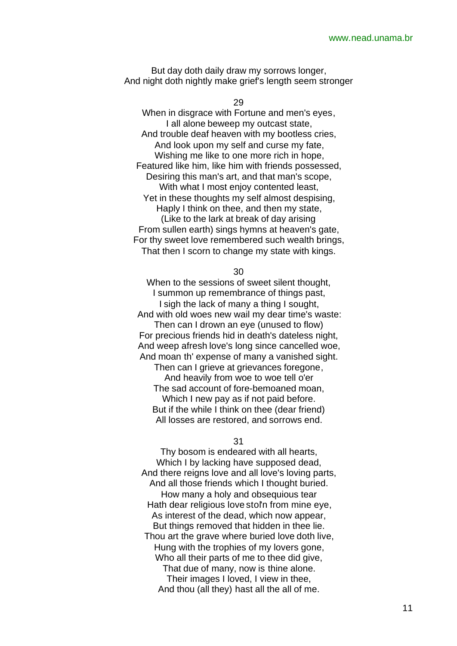But day doth daily draw my sorrows longer, And night doth nightly make grief's length seem stronger

29

When in disgrace with Fortune and men's eyes, I all alone beweep my outcast state, And trouble deaf heaven with my bootless cries, And look upon my self and curse my fate, Wishing me like to one more rich in hope, Featured like him, like him with friends possessed, Desiring this man's art, and that man's scope, With what I most enjoy contented least, Yet in these thoughts my self almost despising, Haply I think on thee, and then my state, (Like to the lark at break of day arising From sullen earth) sings hymns at heaven's gate, For thy sweet love remembered such wealth brings, That then I scorn to change my state with kings.

30

When to the sessions of sweet silent thought, I summon up remembrance of things past, I sigh the lack of many a thing I sought, And with old woes new wail my dear time's waste: Then can I drown an eye (unused to flow) For precious friends hid in death's dateless night, And weep afresh love's long since cancelled woe, And moan th' expense of many a vanished sight. Then can I grieve at grievances foregone,

And heavily from woe to woe tell o'er The sad account of fore-bemoaned moan, Which I new pay as if not paid before. But if the while I think on thee (dear friend) All losses are restored, and sorrows end.

31

Thy bosom is endeared with all hearts, Which I by lacking have supposed dead, And there reigns love and all love's loving parts, And all those friends which I thought buried. How many a holy and obsequious tear Hath dear religious love stol'n from mine eye, As interest of the dead, which now appear, But things removed that hidden in thee lie. Thou art the grave where buried love doth live, Hung with the trophies of my lovers gone, Who all their parts of me to thee did give, That due of many, now is thine alone. Their images I loved, I view in thee, And thou (all they) hast all the all of me.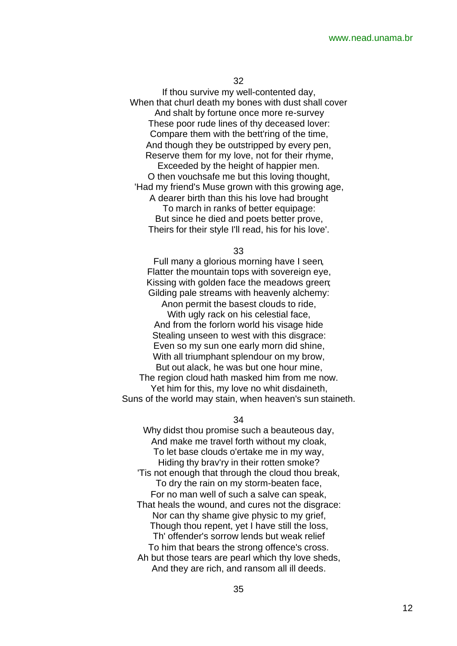32

If thou survive my well-contented day, When that churl death my bones with dust shall cover And shalt by fortune once more re-survey These poor rude lines of thy deceased lover: Compare them with the bett'ring of the time, And though they be outstripped by every pen, Reserve them for my love, not for their rhyme, Exceeded by the height of happier men. O then vouchsafe me but this loving thought, 'Had my friend's Muse grown with this growing age, A dearer birth than this his love had brought To march in ranks of better equipage:

But since he died and poets better prove, Theirs for their style I'll read, his for his love'.

33

Full many a glorious morning have I seen, Flatter the mountain tops with sovereign eye, Kissing with golden face the meadows green; Gilding pale streams with heavenly alchemy:

Anon permit the basest clouds to ride, With ugly rack on his celestial face, And from the forlorn world his visage hide Stealing unseen to west with this disgrace: Even so my sun one early morn did shine, With all triumphant splendour on my brow, But out alack, he was but one hour mine,

The region cloud hath masked him from me now. Yet him for this, my love no whit disdaineth, Suns of the world may stain, when heaven's sun staineth.

34

Why didst thou promise such a beauteous day, And make me travel forth without my cloak, To let base clouds o'ertake me in my way, Hiding thy brav'ry in their rotten smoke? 'Tis not enough that through the cloud thou break, To dry the rain on my storm-beaten face, For no man well of such a salve can speak, That heals the wound, and cures not the disgrace: Nor can thy shame give physic to my grief, Though thou repent, yet I have still the loss, Th' offender's sorrow lends but weak relief To him that bears the strong offence's cross. Ah but those tears are pearl which thy love sheds, And they are rich, and ransom all ill deeds.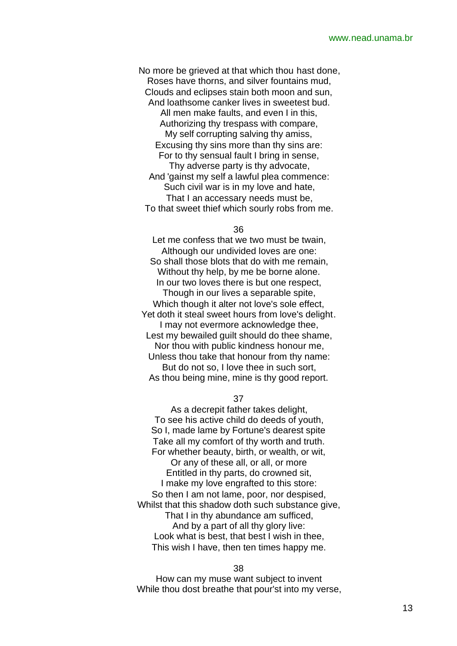No more be grieved at that which thou hast done, Roses have thorns, and silver fountains mud, Clouds and eclipses stain both moon and sun, And loathsome canker lives in sweetest bud. All men make faults, and even I in this, Authorizing thy trespass with compare, My self corrupting salving thy amiss, Excusing thy sins more than thy sins are: For to thy sensual fault I bring in sense, Thy adverse party is thy advocate, And 'gainst my self a lawful plea commence: Such civil war is in my love and hate, That I an accessary needs must be, To that sweet thief which sourly robs from me.

36

Let me confess that we two must be twain, Although our undivided loves are one: So shall those blots that do with me remain, Without thy help, by me be borne alone. In our two loves there is but one respect, Though in our lives a separable spite, Which though it alter not love's sole effect, Yet doth it steal sweet hours from love's delight. I may not evermore acknowledge thee, Lest my bewailed guilt should do thee shame, Nor thou with public kindness honour me, Unless thou take that honour from thy name: But do not so, I love thee in such sort, As thou being mine, mine is thy good report.

37

As a decrepit father takes delight, To see his active child do deeds of youth, So I, made lame by Fortune's dearest spite Take all my comfort of thy worth and truth. For whether beauty, birth, or wealth, or wit,

Or any of these all, or all, or more Entitled in thy parts, do crowned sit, I make my love engrafted to this store: So then I am not lame, poor, nor despised, Whilst that this shadow doth such substance give, That I in thy abundance am sufficed,

And by a part of all thy glory live: Look what is best, that best I wish in thee, This wish I have, then ten times happy me.

38

How can my muse want subject to invent While thou dost breathe that pour'st into my verse,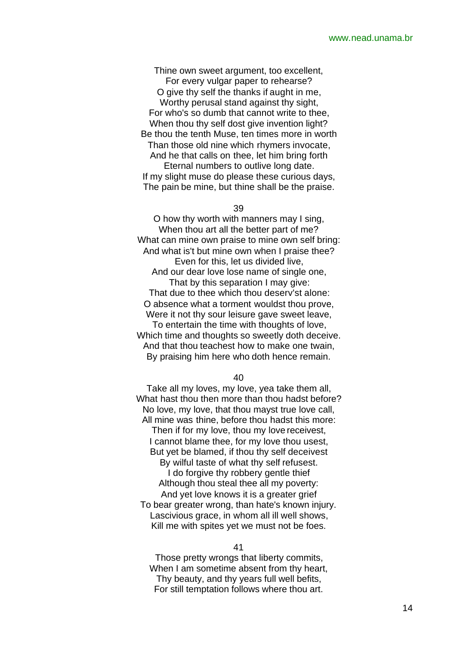Thine own sweet argument, too excellent, For every vulgar paper to rehearse? O give thy self the thanks if aught in me, Worthy perusal stand against thy sight, For who's so dumb that cannot write to thee, When thou thy self dost give invention light? Be thou the tenth Muse, ten times more in worth Than those old nine which rhymers invocate, And he that calls on thee, let him bring forth Eternal numbers to outlive long date. If my slight muse do please these curious days, The pain be mine, but thine shall be the praise.

## 39

O how thy worth with manners may I sing, When thou art all the better part of me? What can mine own praise to mine own self bring: And what is't but mine own when I praise thee? Even for this, let us divided live, And our dear love lose name of single one, That by this separation I may give: That due to thee which thou deserv'st alone: O absence what a torment wouldst thou prove, Were it not thy sour leisure gave sweet leave, To entertain the time with thoughts of love, Which time and thoughts so sweetly doth deceive. And that thou teachest how to make one twain, By praising him here who doth hence remain.

40

Take all my loves, my love, yea take them all, What hast thou then more than thou hadst before? No love, my love, that thou mayst true love call, All mine was thine, before thou hadst this more: Then if for my love, thou my love receivest, I cannot blame thee, for my love thou usest, But yet be blamed, if thou thy self deceivest By wilful taste of what thy self refusest. I do forgive thy robbery gentle thief Although thou steal thee all my poverty: And yet love knows it is a greater grief To bear greater wrong, than hate's known injury. Lascivious grace, in whom all ill well shows, Kill me with spites yet we must not be foes.

### 41

Those pretty wrongs that liberty commits, When I am sometime absent from thy heart. Thy beauty, and thy years full well befits, For still temptation follows where thou art.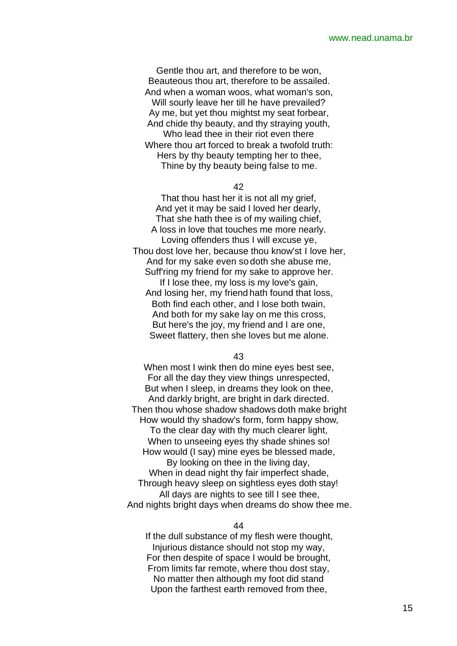Gentle thou art, and therefore to be won, Beauteous thou art, therefore to be assailed. And when a woman woos, what woman's son, Will sourly leave her till he have prevailed? Ay me, but yet thou mightst my seat forbear, And chide thy beauty, and thy straying youth, Who lead thee in their riot even there Where thou art forced to break a twofold truth: Hers by thy beauty tempting her to thee, Thine by thy beauty being false to me.

42

That thou hast her it is not all my grief, And yet it may be said I loved her dearly, That she hath thee is of my wailing chief, A loss in love that touches me more nearly. Loving offenders thus I will excuse ye,

Thou dost love her, because thou know'st I love her, And for my sake even so doth she abuse me, Suff'ring my friend for my sake to approve her.

If I lose thee, my loss is my love's gain, And losing her, my friend hath found that loss, Both find each other, and I lose both twain, And both for my sake lay on me this cross, But here's the joy, my friend and I are one, Sweet flattery, then she loves but me alone.

43

When most I wink then do mine eyes best see, For all the day they view things unrespected, But when I sleep, in dreams they look on thee, And darkly bright, are bright in dark directed. Then thou whose shadow shadows doth make bright How would thy shadow's form, form happy show, To the clear day with thy much clearer light, When to unseeing eyes thy shade shines so! How would (I say) mine eyes be blessed made, By looking on thee in the living day, When in dead night thy fair imperfect shade, Through heavy sleep on sightless eyes doth stay! All days are nights to see till I see thee, And nights bright days when dreams do show thee me.

44

If the dull substance of my flesh were thought, Injurious distance should not stop my way, For then despite of space I would be brought, From limits far remote, where thou dost stay, No matter then although my foot did stand Upon the farthest earth removed from thee,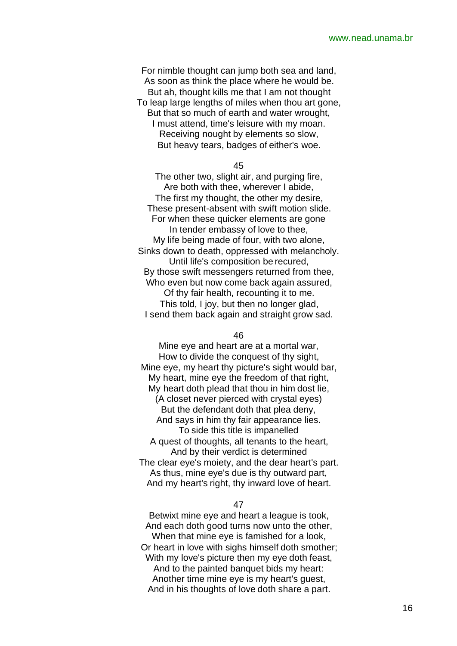For nimble thought can jump both sea and land, As soon as think the place where he would be. But ah, thought kills me that I am not thought To leap large lengths of miles when thou art gone, But that so much of earth and water wrought, I must attend, time's leisure with my moan. Receiving nought by elements so slow, But heavy tears, badges of either's woe.

#### 45

The other two, slight air, and purging fire, Are both with thee, wherever I abide, The first my thought, the other my desire, These present-absent with swift motion slide. For when these quicker elements are gone In tender embassy of love to thee, My life being made of four, with two alone, Sinks down to death, oppressed with melancholy. Until life's composition be recured, By those swift messengers returned from thee, Who even but now come back again assured, Of thy fair health, recounting it to me. This told, I joy, but then no longer glad, I send them back again and straight grow sad.

#### 46

Mine eye and heart are at a mortal war, How to divide the conquest of thy sight, Mine eye, my heart thy picture's sight would bar, My heart, mine eye the freedom of that right, My heart doth plead that thou in him dost lie, (A closet never pierced with crystal eyes) But the defendant doth that plea deny, And says in him thy fair appearance lies. To side this title is impanelled A quest of thoughts, all tenants to the heart, And by their verdict is determined The clear eye's moiety, and the dear heart's part. As thus, mine eye's due is thy outward part, And my heart's right, thy inward love of heart.

## 47

Betwixt mine eye and heart a league is took, And each doth good turns now unto the other, When that mine eye is famished for a look, Or heart in love with sighs himself doth smother; With my love's picture then my eye doth feast, And to the painted banquet bids my heart: Another time mine eye is my heart's guest, And in his thoughts of love doth share a part.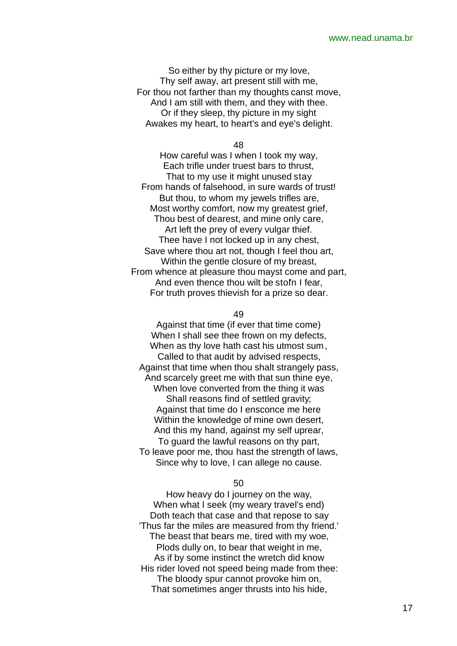So either by thy picture or my love, Thy self away, art present still with me, For thou not farther than my thoughts canst move, And I am still with them, and they with thee. Or if they sleep, thy picture in my sight Awakes my heart, to heart's and eye's delight.

48

How careful was I when I took my way, Each trifle under truest bars to thrust, That to my use it might unused stay From hands of falsehood, in sure wards of trust! But thou, to whom my jewels trifles are, Most worthy comfort, now my greatest grief, Thou best of dearest, and mine only care, Art left the prey of every vulgar thief. Thee have I not locked up in any chest, Save where thou art not, though I feel thou art, Within the gentle closure of my breast, From whence at pleasure thou mayst come and part, And even thence thou wilt be stol'n I fear, For truth proves thievish for a prize so dear.

## 49

Against that time (if ever that time come) When I shall see thee frown on my defects, When as thy love hath cast his utmost sum, Called to that audit by advised respects, Against that time when thou shalt strangely pass, And scarcely greet me with that sun thine eye, When love converted from the thing it was Shall reasons find of settled gravity; Against that time do I ensconce me here Within the knowledge of mine own desert, And this my hand, against my self uprear, To guard the lawful reasons on thy part, To leave poor me, thou hast the strength of laws, Since why to love, I can allege no cause.

50

How heavy do I journey on the way, When what I seek (my weary travel's end) Doth teach that case and that repose to say 'Thus far the miles are measured from thy friend.' The beast that bears me, tired with my woe, Plods dully on, to bear that weight in me, As if by some instinct the wretch did know His rider loved not speed being made from thee: The bloody spur cannot provoke him on, That sometimes anger thrusts into his hide,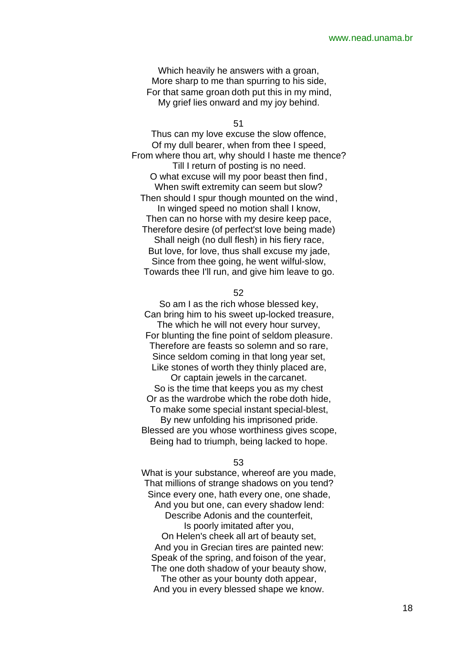Which heavily he answers with a groan, More sharp to me than spurring to his side, For that same groan doth put this in my mind, My grief lies onward and my joy behind.

51

Thus can my love excuse the slow offence, Of my dull bearer, when from thee I speed, From where thou art, why should I haste me thence? Till I return of posting is no need. O what excuse will my poor beast then find, When swift extremity can seem but slow? Then should I spur though mounted on the wind, In winged speed no motion shall I know, Then can no horse with my desire keep pace, Therefore desire (of perfect'st love being made) Shall neigh (no dull flesh) in his fiery race, But love, for love, thus shall excuse my jade, Since from thee going, he went wilful-slow, Towards thee I'll run, and give him leave to go.

## 52

So am I as the rich whose blessed key, Can bring him to his sweet up-locked treasure, The which he will not every hour survey, For blunting the fine point of seldom pleasure. Therefore are feasts so solemn and so rare, Since seldom coming in that long year set, Like stones of worth they thinly placed are, Or captain jewels in the carcanet. So is the time that keeps you as my chest Or as the wardrobe which the robe doth hide, To make some special instant special-blest, By new unfolding his imprisoned pride. Blessed are you whose worthiness gives scope, Being had to triumph, being lacked to hope.

#### 53

What is your substance, whereof are you made, That millions of strange shadows on you tend? Since every one, hath every one, one shade, And you but one, can every shadow lend: Describe Adonis and the counterfeit, Is poorly imitated after you, On Helen's cheek all art of beauty set, And you in Grecian tires are painted new: Speak of the spring, and foison of the year, The one doth shadow of your beauty show, The other as your bounty doth appear,

And you in every blessed shape we know.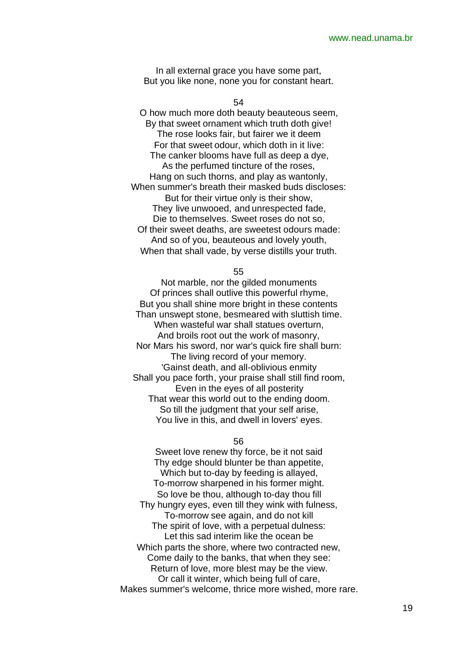In all external grace you have some part, But you like none, none you for constant heart.

54

O how much more doth beauty beauteous seem, By that sweet ornament which truth doth give! The rose looks fair, but fairer we it deem For that sweet odour, which doth in it live: The canker blooms have full as deep a dye, As the perfumed tincture of the roses, Hang on such thorns, and play as wantonly, When summer's breath their masked buds discloses: But for their virtue only is their show, They live unwooed, and unrespected fade, Die to themselves. Sweet roses do not so, Of their sweet deaths, are sweetest odours made: And so of you, beauteous and lovely youth, When that shall vade, by verse distills your truth.

55

Not marble, nor the gilded monuments Of princes shall outlive this powerful rhyme, But you shall shine more bright in these contents Than unswept stone, besmeared with sluttish time. When wasteful war shall statues overturn, And broils root out the work of masonry, Nor Mars his sword, nor war's quick fire shall burn: The living record of your memory. 'Gainst death, and all-oblivious enmity Shall you pace forth, your praise shall still find room, Even in the eyes of all posterity That wear this world out to the ending doom. So till the judgment that your self arise, You live in this, and dwell in lovers' eyes.

56

Sweet love renew thy force, be it not said Thy edge should blunter be than appetite, Which but to-day by feeding is allayed, To-morrow sharpened in his former might. So love be thou, although to-day thou fill Thy hungry eyes, even till they wink with fulness, To-morrow see again, and do not kill The spirit of love, with a perpetual dulness: Let this sad interim like the ocean be Which parts the shore, where two contracted new, Come daily to the banks, that when they see: Return of love, more blest may be the view. Or call it winter, which being full of care, Makes summer's welcome, thrice more wished, more rare.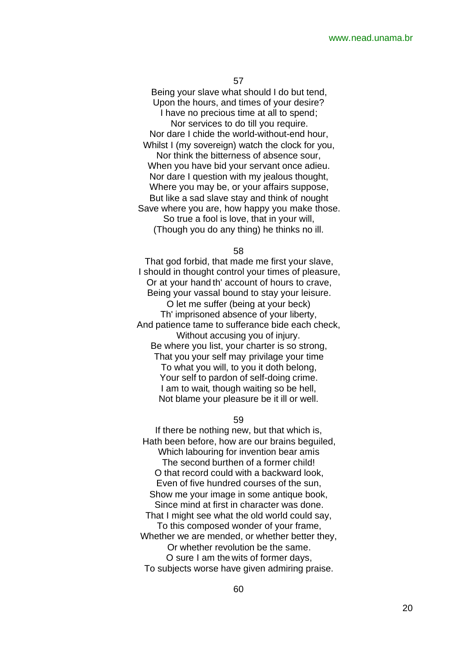57

Being your slave what should I do but tend, Upon the hours, and times of your desire?

I have no precious time at all to spend;

Nor services to do till you require. Nor dare I chide the world-without-end hour, Whilst I (my sovereign) watch the clock for you, Nor think the bitterness of absence sour, When you have bid your servant once adieu. Nor dare I question with my jealous thought, Where you may be, or your affairs suppose, But like a sad slave stay and think of nought Save where you are, how happy you make those. So true a fool is love, that in your will, (Though you do any thing) he thinks no ill.

58

That god forbid, that made me first your slave, I should in thought control your times of pleasure, Or at your hand th' account of hours to crave, Being your vassal bound to stay your leisure. O let me suffer (being at your beck) Th' imprisoned absence of your liberty, And patience tame to sufferance bide each check, Without accusing you of injury. Be where you list, your charter is so strong, That you your self may privilage your time To what you will, to you it doth belong, Your self to pardon of self-doing crime. I am to wait, though waiting so be hell, Not blame your pleasure be it ill or well.

59

If there be nothing new, but that which is, Hath been before, how are our brains beguiled, Which labouring for invention bear amis The second burthen of a former child! O that record could with a backward look, Even of five hundred courses of the sun, Show me your image in some antique book, Since mind at first in character was done. That I might see what the old world could say, To this composed wonder of your frame, Whether we are mended, or whether better they, Or whether revolution be the same. O sure I am the wits of former days,

To subjects worse have given admiring praise.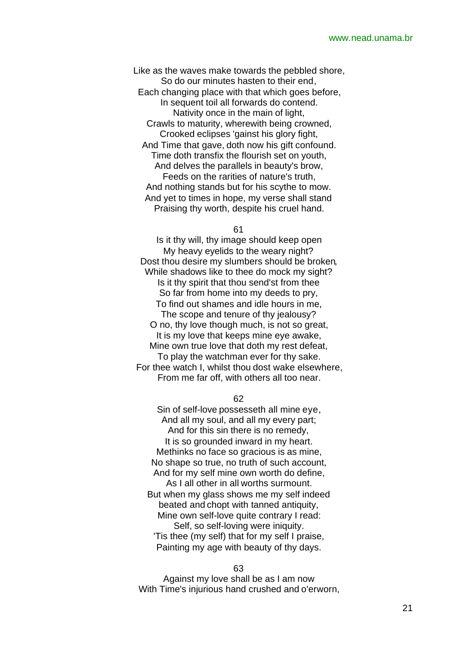Like as the waves make towards the pebbled shore, So do our minutes hasten to their end, Each changing place with that which goes before, In sequent toil all forwards do contend. Nativity once in the main of light, Crawls to maturity, wherewith being crowned, Crooked eclipses 'gainst his glory fight, And Time that gave, doth now his gift confound. Time doth transfix the flourish set on youth, And delves the parallels in beauty's brow, Feeds on the rarities of nature's truth, And nothing stands but for his scythe to mow. And yet to times in hope, my verse shall stand Praising thy worth, despite his cruel hand.

61

Is it thy will, thy image should keep open My heavy eyelids to the weary night? Dost thou desire my slumbers should be broken, While shadows like to thee do mock my sight? Is it thy spirit that thou send'st from thee So far from home into my deeds to pry, To find out shames and idle hours in me, The scope and tenure of thy jealousy? O no, thy love though much, is not so great, It is my love that keeps mine eye awake, Mine own true love that doth my rest defeat, To play the watchman ever for thy sake. For thee watch I, whilst thou dost wake elsewhere, From me far off, with others all too near.

62

Sin of self-love possesseth all mine eye, And all my soul, and all my every part; And for this sin there is no remedy, It is so grounded inward in my heart. Methinks no face so gracious is as mine, No shape so true, no truth of such account, And for my self mine own worth do define, As I all other in all worths surmount. But when my glass shows me my self indeed beated and chopt with tanned antiquity, Mine own self-love quite contrary I read: Self, so self-loving were iniquity. 'Tis thee (my self) that for my self I praise, Painting my age with beauty of thy days.

63

Against my love shall be as I am now With Time's injurious hand crushed and o'erworn,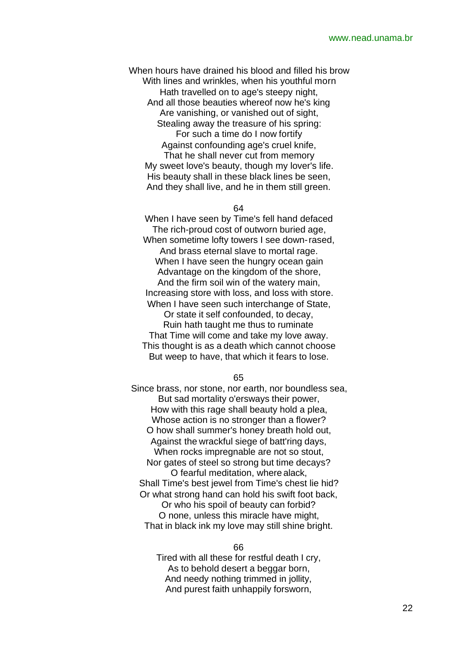When hours have drained his blood and filled his brow With lines and wrinkles, when his youthful morn Hath travelled on to age's steepy night, And all those beauties whereof now he's king Are vanishing, or vanished out of sight, Stealing away the treasure of his spring: For such a time do I now fortify Against confounding age's cruel knife, That he shall never cut from memory My sweet love's beauty, though my lover's life. His beauty shall in these black lines be seen, And they shall live, and he in them still green.

## 64

When I have seen by Time's fell hand defaced The rich-proud cost of outworn buried age, When sometime lofty towers I see down-rased, And brass eternal slave to mortal rage. When I have seen the hungry ocean gain Advantage on the kingdom of the shore, And the firm soil win of the watery main, Increasing store with loss, and loss with store. When I have seen such interchange of State, Or state it self confounded, to decay, Ruin hath taught me thus to ruminate That Time will come and take my love away. This thought is as a death which cannot choose But weep to have, that which it fears to lose.

65

Since brass, nor stone, nor earth, nor boundless sea, But sad mortality o'ersways their power, How with this rage shall beauty hold a plea, Whose action is no stronger than a flower? O how shall summer's honey breath hold out, Against the wrackful siege of batt'ring days, When rocks impregnable are not so stout, Nor gates of steel so strong but time decays? O fearful meditation, where alack, Shall Time's best jewel from Time's chest lie hid? Or what strong hand can hold his swift foot back, Or who his spoil of beauty can forbid? O none, unless this miracle have might, That in black ink my love may still shine bright.

## 66

Tired with all these for restful death I cry, As to behold desert a beggar born, And needy nothing trimmed in jollity, And purest faith unhappily forsworn,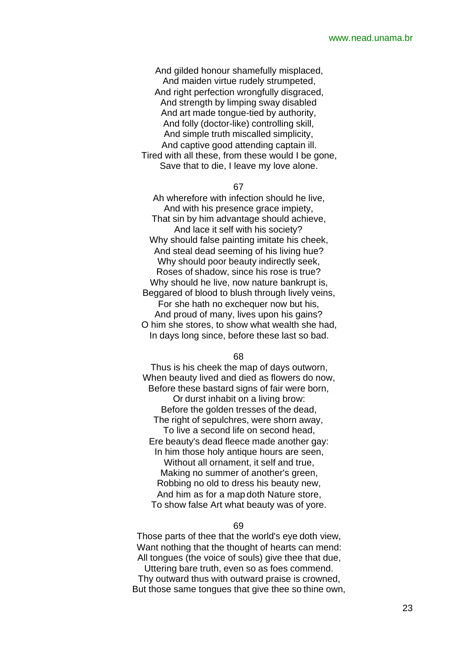And gilded honour shamefully misplaced, And maiden virtue rudely strumpeted, And right perfection wrongfully disgraced, And strength by limping sway disabled And art made tongue-tied by authority, And folly (doctor-like) controlling skill, And simple truth miscalled simplicity, And captive good attending captain ill. Tired with all these, from these would I be gone, Save that to die, I leave my love alone.

#### 67

Ah wherefore with infection should he live, And with his presence grace impiety, That sin by him advantage should achieve, And lace it self with his society? Why should false painting imitate his cheek, And steal dead seeming of his living hue? Why should poor beauty indirectly seek, Roses of shadow, since his rose is true? Why should he live, now nature bankrupt is. Beggared of blood to blush through lively veins, For she hath no exchequer now but his, And proud of many, lives upon his gains? O him she stores, to show what wealth she had, In days long since, before these last so bad.

## 68

Thus is his cheek the map of days outworn, When beauty lived and died as flowers do now, Before these bastard signs of fair were born, Or durst inhabit on a living brow: Before the golden tresses of the dead, The right of sepulchres, were shorn away, To live a second life on second head, Ere beauty's dead fleece made another gay: In him those holy antique hours are seen, Without all ornament, it self and true. Making no summer of another's green, Robbing no old to dress his beauty new, And him as for a map doth Nature store, To show false Art what beauty was of yore.

## 69

Those parts of thee that the world's eye doth view, Want nothing that the thought of hearts can mend: All tongues (the voice of souls) give thee that due,

Uttering bare truth, even so as foes commend. Thy outward thus with outward praise is crowned, But those same tongues that give thee so thine own,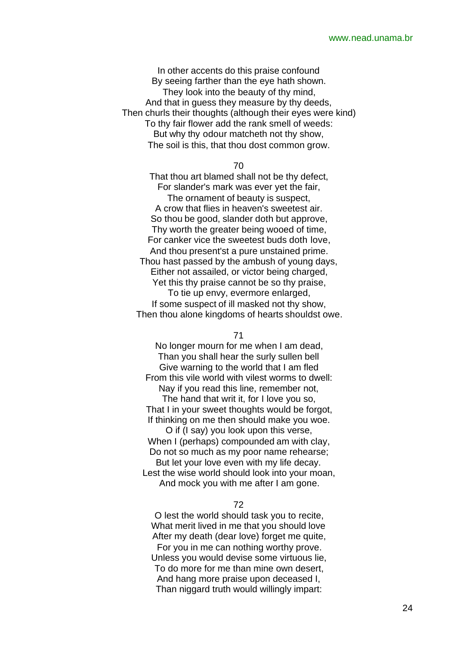In other accents do this praise confound By seeing farther than the eye hath shown. They look into the beauty of thy mind, And that in guess they measure by thy deeds, Then churls their thoughts (although their eyes were kind) To thy fair flower add the rank smell of weeds: But why thy odour matcheth not thy show, The soil is this, that thou dost common grow.

#### 70

That thou art blamed shall not be thy defect, For slander's mark was ever yet the fair, The ornament of beauty is suspect, A crow that flies in heaven's sweetest air. So thou be good, slander doth but approve, Thy worth the greater being wooed of time, For canker vice the sweetest buds doth love, And thou present'st a pure unstained prime. Thou hast passed by the ambush of young days, Either not assailed, or victor being charged, Yet this thy praise cannot be so thy praise, To tie up envy, evermore enlarged, If some suspect of ill masked not thy show, Then thou alone kingdoms of hearts shouldst owe.

## 71

No longer mourn for me when I am dead, Than you shall hear the surly sullen bell Give warning to the world that I am fled From this vile world with vilest worms to dwell: Nay if you read this line, remember not,

The hand that writ it, for I love you so, That I in your sweet thoughts would be forgot, If thinking on me then should make you woe.

O if (I say) you look upon this verse, When I (perhaps) compounded am with clay, Do not so much as my poor name rehearse; But let your love even with my life decay.

Lest the wise world should look into your moan, And mock you with me after I am gone.

## 72

O lest the world should task you to recite, What merit lived in me that you should love After my death (dear love) forget me quite, For you in me can nothing worthy prove. Unless you would devise some virtuous lie, To do more for me than mine own desert, And hang more praise upon deceased I, Than niggard truth would willingly impart: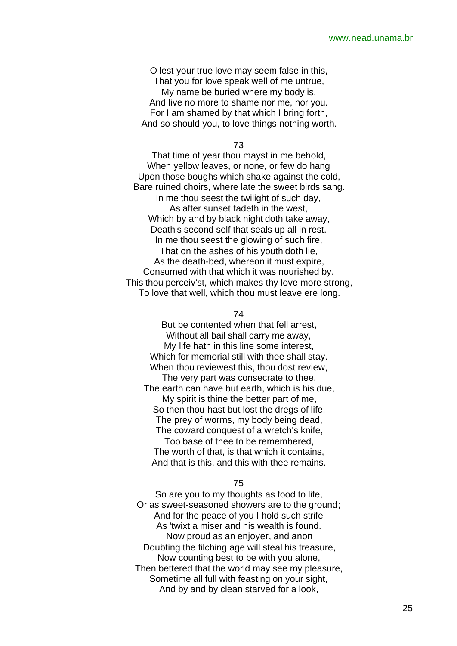O lest your true love may seem false in this, That you for love speak well of me untrue, My name be buried where my body is, And live no more to shame nor me, nor you. For I am shamed by that which I bring forth, And so should you, to love things nothing worth.

73

That time of year thou mayst in me behold, When yellow leaves, or none, or few do hang Upon those boughs which shake against the cold, Bare ruined choirs, where late the sweet birds sang. In me thou seest the twilight of such day, As after sunset fadeth in the west, Which by and by black night doth take away, Death's second self that seals up all in rest. In me thou seest the glowing of such fire, That on the ashes of his youth doth lie, As the death-bed, whereon it must expire, Consumed with that which it was nourished by. This thou perceiv'st, which makes thy love more strong, To love that well, which thou must leave ere long.

## 74

But be contented when that fell arrest, Without all bail shall carry me away, My life hath in this line some interest, Which for memorial still with thee shall stay. When thou reviewest this, thou dost review, The very part was consecrate to thee, The earth can have but earth, which is his due, My spirit is thine the better part of me, So then thou hast but lost the dregs of life, The prey of worms, my body being dead, The coward conquest of a wretch's knife, Too base of thee to be remembered,

The worth of that, is that which it contains, And that is this, and this with thee remains.

## 75

So are you to my thoughts as food to life, Or as sweet-seasoned showers are to the ground; And for the peace of you I hold such strife As 'twixt a miser and his wealth is found. Now proud as an enjoyer, and anon Doubting the filching age will steal his treasure, Now counting best to be with you alone, Then bettered that the world may see my pleasure, Sometime all full with feasting on your sight, And by and by clean starved for a look,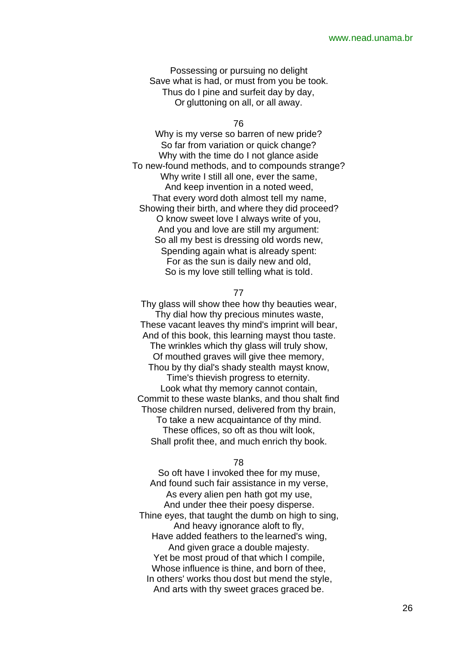Possessing or pursuing no delight Save what is had, or must from you be took. Thus do I pine and surfeit day by day, Or gluttoning on all, or all away.

76

Why is my verse so barren of new pride? So far from variation or quick change? Why with the time do I not glance aside To new-found methods, and to compounds strange? Why write I still all one, ever the same, And keep invention in a noted weed, That every word doth almost tell my name, Showing their birth, and where they did proceed? O know sweet love I always write of you, And you and love are still my argument: So all my best is dressing old words new, Spending again what is already spent: For as the sun is daily new and old, So is my love still telling what is told.

## 77

Thy glass will show thee how thy beauties wear, Thy dial how thy precious minutes waste, These vacant leaves thy mind's imprint will bear, And of this book, this learning mayst thou taste. The wrinkles which thy glass will truly show, Of mouthed graves will give thee memory, Thou by thy dial's shady stealth mayst know, Time's thievish progress to eternity. Look what thy memory cannot contain, Commit to these waste blanks, and thou shalt find Those children nursed, delivered from thy brain, To take a new acquaintance of thy mind.

These offices, so oft as thou wilt look, Shall profit thee, and much enrich thy book.

78

So oft have I invoked thee for my muse, And found such fair assistance in my verse, As every alien pen hath got my use, And under thee their poesy disperse. Thine eyes, that taught the dumb on high to sing, And heavy ignorance aloft to fly, Have added feathers to the learned's wing, And given grace a double majesty. Yet be most proud of that which I compile, Whose influence is thine, and born of thee. In others' works thou dost but mend the style, And arts with thy sweet graces graced be.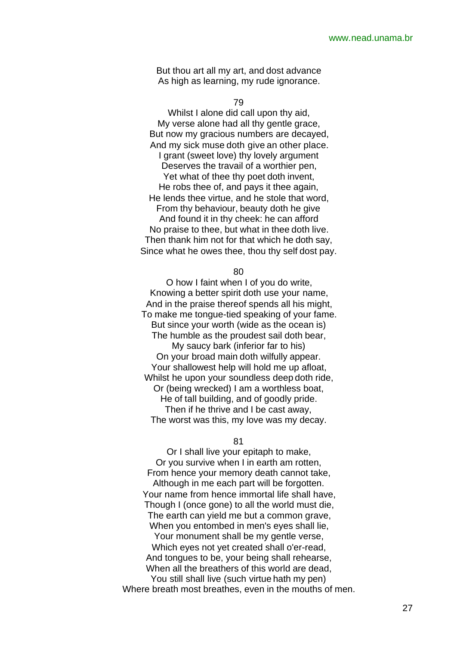But thou art all my art, and dost advance As high as learning, my rude ignorance.

79

Whilst I alone did call upon thy aid, My verse alone had all thy gentle grace, But now my gracious numbers are decayed, And my sick muse doth give an other place. I grant (sweet love) thy lovely argument Deserves the travail of a worthier pen, Yet what of thee thy poet doth invent, He robs thee of, and pays it thee again, He lends thee virtue, and he stole that word, From thy behaviour, beauty doth he give And found it in thy cheek: he can afford No praise to thee, but what in thee doth live. Then thank him not for that which he doth say, Since what he owes thee, thou thy self dost pay.

80

O how I faint when I of you do write, Knowing a better spirit doth use your name, And in the praise thereof spends all his might, To make me tongue-tied speaking of your fame. But since your worth (wide as the ocean is) The humble as the proudest sail doth bear,

My saucy bark (inferior far to his) On your broad main doth wilfully appear. Your shallowest help will hold me up afloat, Whilst he upon your soundless deep doth ride, Or (being wrecked) I am a worthless boat, He of tall building, and of goodly pride. Then if he thrive and I be cast away, The worst was this, my love was my decay.

81

Or I shall live your epitaph to make, Or you survive when I in earth am rotten, From hence your memory death cannot take, Although in me each part will be forgotten. Your name from hence immortal life shall have, Though I (once gone) to all the world must die, The earth can yield me but a common grave, When you entombed in men's eyes shall lie, Your monument shall be my gentle verse, Which eyes not yet created shall o'er-read, And tongues to be, your being shall rehearse, When all the breathers of this world are dead. You still shall live (such virtue hath my pen) Where breath most breathes, even in the mouths of men.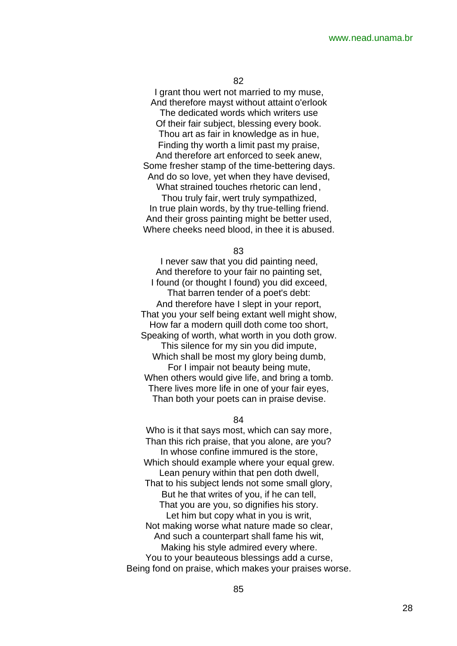82

I grant thou wert not married to my muse, And therefore mayst without attaint o'erlook The dedicated words which writers use Of their fair subject, blessing every book. Thou art as fair in knowledge as in hue, Finding thy worth a limit past my praise, And therefore art enforced to seek anew, Some fresher stamp of the time-bettering days. And do so love, yet when they have devised,

What strained touches rhetoric can lend, Thou truly fair, wert truly sympathized, In true plain words, by thy true-telling friend. And their gross painting might be better used, Where cheeks need blood, in thee it is abused.

83

I never saw that you did painting need, And therefore to your fair no painting set, I found (or thought I found) you did exceed, That barren tender of a poet's debt: And therefore have I slept in your report, That you your self being extant well might show, How far a modern quill doth come too short, Speaking of worth, what worth in you doth grow. This silence for my sin you did impute, Which shall be most my glory being dumb, For I impair not beauty being mute, When others would give life, and bring a tomb. There lives more life in one of your fair eyes, Than both your poets can in praise devise.

#### 84

Who is it that says most, which can say more, Than this rich praise, that you alone, are you? In whose confine immured is the store, Which should example where your equal grew. Lean penury within that pen doth dwell, That to his subject lends not some small glory, But he that writes of you, if he can tell, That you are you, so dignifies his story. Let him but copy what in you is writ, Not making worse what nature made so clear, And such a counterpart shall fame his wit, Making his style admired every where. You to your beauteous blessings add a curse, Being fond on praise, which makes your praises worse.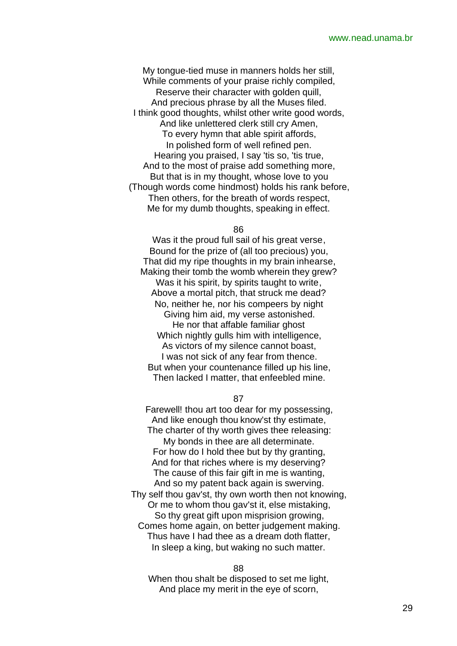My tongue-tied muse in manners holds her still, While comments of your praise richly compiled, Reserve their character with golden quill, And precious phrase by all the Muses filed. I think good thoughts, whilst other write good words, And like unlettered clerk still cry Amen, To every hymn that able spirit affords, In polished form of well refined pen. Hearing you praised, I say 'tis so, 'tis true, And to the most of praise add something more, But that is in my thought, whose love to you (Though words come hindmost) holds his rank before, Then others, for the breath of words respect, Me for my dumb thoughts, speaking in effect.

86

Was it the proud full sail of his great verse, Bound for the prize of (all too precious) you, That did my ripe thoughts in my brain inhearse, Making their tomb the womb wherein they grew? Was it his spirit, by spirits taught to write, Above a mortal pitch, that struck me dead? No, neither he, nor his compeers by night Giving him aid, my verse astonished. He nor that affable familiar ghost Which nightly gulls him with intelligence, As victors of my silence cannot boast, I was not sick of any fear from thence. But when your countenance filled up his line, Then lacked I matter, that enfeebled mine.

## 87

Farewell! thou art too dear for my possessing, And like enough thou know'st thy estimate, The charter of thy worth gives thee releasing: My bonds in thee are all determinate. For how do I hold thee but by thy granting, And for that riches where is my deserving? The cause of this fair gift in me is wanting, And so my patent back again is swerving. Thy self thou gav'st, thy own worth then not knowing, Or me to whom thou gav'st it, else mistaking, So thy great gift upon misprision growing, Comes home again, on better judgement making. Thus have I had thee as a dream doth flatter, In sleep a king, but waking no such matter.

#### 88

When thou shalt be disposed to set me light, And place my merit in the eye of scorn,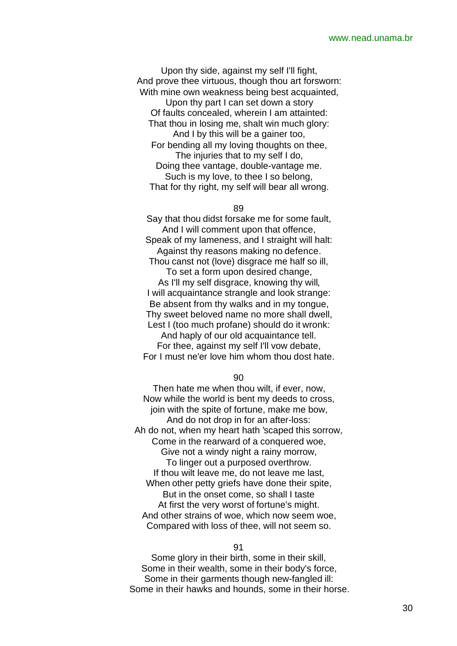Upon thy side, against my self I'll fight, And prove thee virtuous, though thou art forsworn: With mine own weakness being best acquainted,

Upon thy part I can set down a story Of faults concealed, wherein I am attainted: That thou in losing me, shalt win much glory: And I by this will be a gainer too, For bending all my loving thoughts on thee, The injuries that to my self I do, Doing thee vantage, double-vantage me. Such is my love, to thee I so belong, That for thy right, my self will bear all wrong.

## 89

Say that thou didst forsake me for some fault, And I will comment upon that offence, Speak of my lameness, and I straight will halt: Against thy reasons making no defence. Thou canst not (love) disgrace me half so ill, To set a form upon desired change, As I'll my self disgrace, knowing thy will, I will acquaintance strangle and look strange: Be absent from thy walks and in my tongue, Thy sweet beloved name no more shall dwell, Lest I (too much profane) should do it wronk:

And haply of our old acquaintance tell. For thee, against my self I'll vow debate, For I must ne'er love him whom thou dost hate.

 $90$ 

Then hate me when thou wilt, if ever, now, Now while the world is bent my deeds to cross, join with the spite of fortune, make me bow, And do not drop in for an after-loss: Ah do not, when my heart hath 'scaped this sorrow, Come in the rearward of a conquered woe. Give not a windy night a rainy morrow, To linger out a purposed overthrow. If thou wilt leave me, do not leave me last, When other petty griefs have done their spite, But in the onset come, so shall I taste At first the very worst of fortune's might. And other strains of woe, which now seem woe, Compared with loss of thee, will not seem so.

91

Some glory in their birth, some in their skill, Some in their wealth, some in their body's force, Some in their garments though new-fangled ill: Some in their hawks and hounds, some in their horse.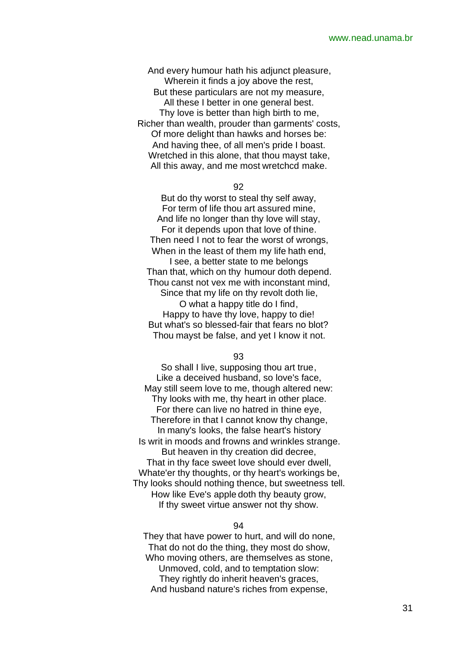And every humour hath his adjunct pleasure, Wherein it finds a joy above the rest, But these particulars are not my measure, All these I better in one general best. Thy love is better than high birth to me, Richer than wealth, prouder than garments' costs, Of more delight than hawks and horses be: And having thee, of all men's pride I boast. Wretched in this alone, that thou mayst take, All this away, and me most wretchcd make.

#### 92

But do thy worst to steal thy self away, For term of life thou art assured mine, And life no longer than thy love will stay, For it depends upon that love of thine. Then need I not to fear the worst of wrongs, When in the least of them my life hath end,

I see, a better state to me belongs Than that, which on thy humour doth depend. Thou canst not vex me with inconstant mind,

Since that my life on thy revolt doth lie, O what a happy title do I find, Happy to have thy love, happy to die! But what's so blessed-fair that fears no blot? Thou mayst be false, and yet I know it not.

93

So shall I live, supposing thou art true, Like a deceived husband, so love's face, May still seem love to me, though altered new: Thy looks with me, thy heart in other place. For there can live no hatred in thine eye, Therefore in that I cannot know thy change, In many's looks, the false heart's history Is writ in moods and frowns and wrinkles strange. But heaven in thy creation did decree, That in thy face sweet love should ever dwell, Whate'er thy thoughts, or thy heart's workings be, Thy looks should nothing thence, but sweetness tell. How like Eve's apple doth thy beauty grow, If thy sweet virtue answer not thy show.

## 94

They that have power to hurt, and will do none, That do not do the thing, they most do show, Who moving others, are themselves as stone, Unmoved, cold, and to temptation slow: They rightly do inherit heaven's graces, And husband nature's riches from expense,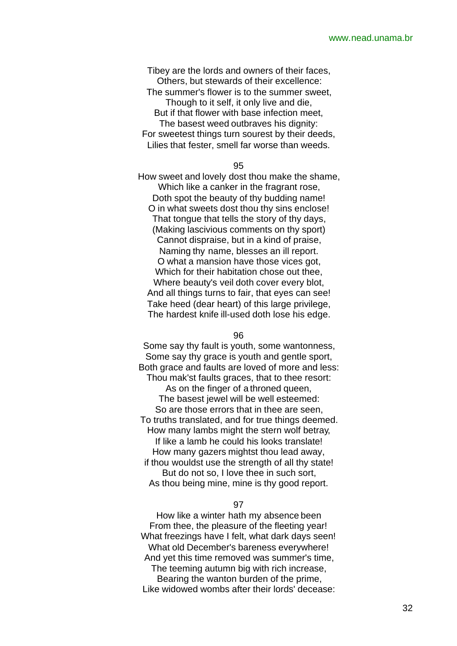Tibey are the lords and owners of their faces, Others, but stewards of their excellence: The summer's flower is to the summer sweet, Though to it self, it only live and die, But if that flower with base infection meet, The basest weed outbraves his dignity: For sweetest things turn sourest by their deeds, Lilies that fester, smell far worse than weeds.

#### 95

How sweet and lovely dost thou make the shame, Which like a canker in the fragrant rose, Doth spot the beauty of thy budding name! O in what sweets dost thou thy sins enclose! That tongue that tells the story of thy days, (Making lascivious comments on thy sport) Cannot dispraise, but in a kind of praise, Naming thy name, blesses an ill report. O what a mansion have those vices got, Which for their habitation chose out thee, Where beauty's veil doth cover every blot, And all things turns to fair, that eyes can see! Take heed (dear heart) of this large privilege, The hardest knife ill-used doth lose his edge.

#### 96

Some say thy fault is youth, some wantonness, Some say thy grace is youth and gentle sport, Both grace and faults are loved of more and less: Thou mak'st faults graces, that to thee resort: As on the finger of a throned queen, The basest jewel will be well esteemed: So are those errors that in thee are seen, To truths translated, and for true things deemed. How many lambs might the stern wolf betray, If like a lamb he could his looks translate! How many gazers mightst thou lead away, if thou wouldst use the strength of all thy state! But do not so, I love thee in such sort, As thou being mine, mine is thy good report.

## 97

How like a winter hath my absence been From thee, the pleasure of the fleeting year! What freezings have I felt, what dark days seen! What old December's bareness everywhere! And yet this time removed was summer's time, The teeming autumn big with rich increase, Bearing the wanton burden of the prime, Like widowed wombs after their lords' decease: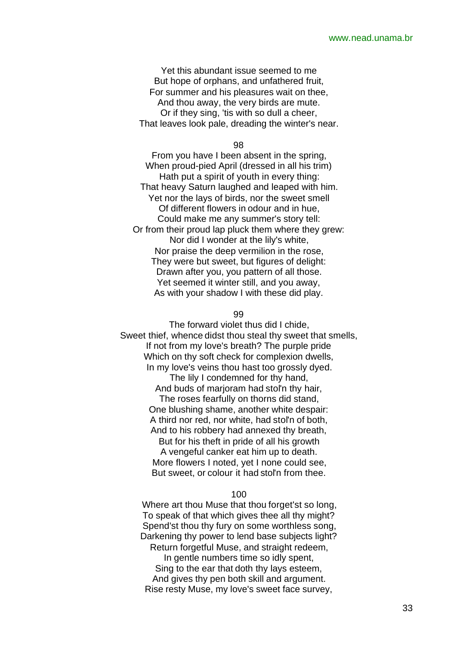Yet this abundant issue seemed to me But hope of orphans, and unfathered fruit, For summer and his pleasures wait on thee, And thou away, the very birds are mute. Or if they sing, 'tis with so dull a cheer, That leaves look pale, dreading the winter's near.

98

From you have I been absent in the spring, When proud-pied April (dressed in all his trim) Hath put a spirit of youth in every thing: That heavy Saturn laughed and leaped with him. Yet nor the lays of birds, nor the sweet smell Of different flowers in odour and in hue, Could make me any summer's story tell: Or from their proud lap pluck them where they grew: Nor did I wonder at the lily's white, Nor praise the deep vermilion in the rose, They were but sweet, but figures of delight: Drawn after you, you pattern of all those. Yet seemed it winter still, and you away, As with your shadow I with these did play.

99

The forward violet thus did I chide, Sweet thief, whence didst thou steal thy sweet that smells, If not from my love's breath? The purple pride Which on thy soft check for complexion dwells, In my love's veins thou hast too grossly dyed. The lily I condemned for thy hand, And buds of marjoram had stol'n thy hair, The roses fearfully on thorns did stand, One blushing shame, another white despair: A third nor red, nor white, had stol'n of both, And to his robbery had annexed thy breath, But for his theft in pride of all his growth

A vengeful canker eat him up to death. More flowers I noted, yet I none could see, But sweet, or colour it had stol'n from thee.

## 100

Where art thou Muse that thou forget'st so long, To speak of that which gives thee all thy might? Spend'st thou thy fury on some worthless song, Darkening thy power to lend base subjects light? Return forgetful Muse, and straight redeem,

In gentle numbers time so idly spent, Sing to the ear that doth thy lays esteem, And gives thy pen both skill and argument. Rise resty Muse, my love's sweet face survey,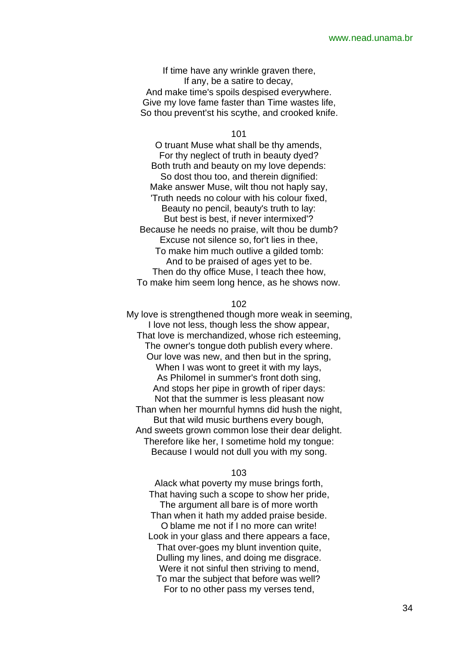If time have any wrinkle graven there, If any, be a satire to decay, And make time's spoils despised everywhere. Give my love fame faster than Time wastes life, So thou prevent'st his scythe, and crooked knife.

101

O truant Muse what shall be thy amends, For thy neglect of truth in beauty dyed? Both truth and beauty on my love depends: So dost thou too, and therein dignified: Make answer Muse, wilt thou not haply say, 'Truth needs no colour with his colour fixed, Beauty no pencil, beauty's truth to lay: But best is best, if never intermixed'? Because he needs no praise, wilt thou be dumb? Excuse not silence so, for't lies in thee, To make him much outlive a gilded tomb: And to be praised of ages yet to be. Then do thy office Muse, I teach thee how, To make him seem long hence, as he shows now.

## 102

My love is strengthened though more weak in seeming, I love not less, though less the show appear, That love is merchandized, whose rich esteeming, The owner's tongue doth publish every where. Our love was new, and then but in the spring, When I was wont to greet it with my lays, As Philomel in summer's front doth sing, And stops her pipe in growth of riper days: Not that the summer is less pleasant now Than when her mournful hymns did hush the night, But that wild music burthens every bough, And sweets grown common lose their dear delight. Therefore like her, I sometime hold my tongue: Because I would not dull you with my song.

#### 103

Alack what poverty my muse brings forth, That having such a scope to show her pride, The argument all bare is of more worth Than when it hath my added praise beside. O blame me not if I no more can write! Look in your glass and there appears a face, That over-goes my blunt invention quite, Dulling my lines, and doing me disgrace. Were it not sinful then striving to mend. To mar the subject that before was well? For to no other pass my verses tend,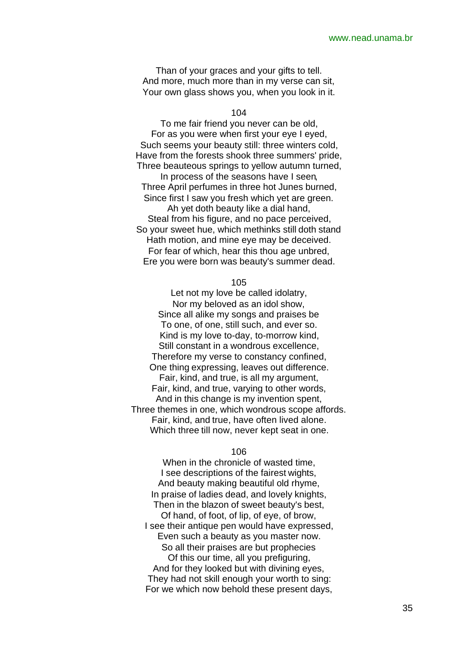Than of your graces and your gifts to tell. And more, much more than in my verse can sit, Your own glass shows you, when you look in it.

## 104

To me fair friend you never can be old, For as you were when first your eye I eyed, Such seems your beauty still: three winters cold, Have from the forests shook three summers' pride, Three beauteous springs to yellow autumn turned,

In process of the seasons have I seen, Three April perfumes in three hot Junes burned, Since first I saw you fresh which yet are green. Ah yet doth beauty like a dial hand, Steal from his figure, and no pace perceived, So your sweet hue, which methinks still doth stand Hath motion, and mine eye may be deceived. For fear of which, hear this thou age unbred, Ere you were born was beauty's summer dead.

## 105

Let not my love be called idolatry, Nor my beloved as an idol show, Since all alike my songs and praises be To one, of one, still such, and ever so. Kind is my love to-day, to-morrow kind, Still constant in a wondrous excellence, Therefore my verse to constancy confined, One thing expressing, leaves out difference. Fair, kind, and true, is all my argument, Fair, kind, and true, varying to other words, And in this change is my invention spent, Three themes in one, which wondrous scope affords. Fair, kind, and true, have often lived alone. Which three till now, never kept seat in one.

## 106

When in the chronicle of wasted time, I see descriptions of the fairest wights, And beauty making beautiful old rhyme, In praise of ladies dead, and lovely knights, Then in the blazon of sweet beauty's best, Of hand, of foot, of lip, of eye, of brow, I see their antique pen would have expressed, Even such a beauty as you master now. So all their praises are but prophecies Of this our time, all you prefiguring, And for they looked but with divining eyes, They had not skill enough your worth to sing: For we which now behold these present days,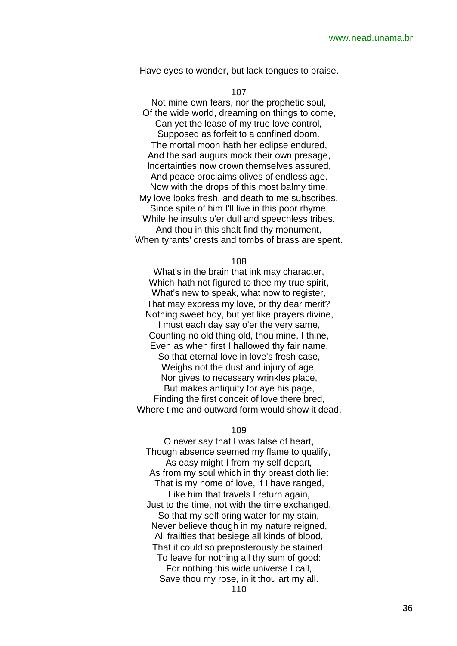Have eyes to wonder, but lack tongues to praise.

107

Not mine own fears, nor the prophetic soul, Of the wide world, dreaming on things to come, Can yet the lease of my true love control, Supposed as forfeit to a confined doom. The mortal moon hath her eclipse endured, And the sad augurs mock their own presage, Incertainties now crown themselves assured, And peace proclaims olives of endless age. Now with the drops of this most balmy time, My love looks fresh, and death to me subscribes, Since spite of him I'll live in this poor rhyme, While he insults o'er dull and speechless tribes. And thou in this shalt find thy monument, When tyrants' crests and tombs of brass are spent.

108

What's in the brain that ink may character, Which hath not figured to thee my true spirit, What's new to speak, what now to register, That may express my love, or thy dear merit? Nothing sweet boy, but yet like prayers divine,

I must each day say o'er the very same, Counting no old thing old, thou mine, I thine, Even as when first I hallowed thy fair name. So that eternal love in love's fresh case, Weighs not the dust and injury of age, Nor gives to necessary wrinkles place, But makes antiquity for aye his page, Finding the first conceit of love there bred, Where time and outward form would show it dead.

109

O never say that I was false of heart, Though absence seemed my flame to qualify, As easy might I from my self depart, As from my soul which in thy breast doth lie: That is my home of love, if I have ranged, Like him that travels I return again, Just to the time, not with the time exchanged, So that my self bring water for my stain, Never believe though in my nature reigned, All frailties that besiege all kinds of blood, That it could so preposterously be stained, To leave for nothing all thy sum of good: For nothing this wide universe I call, Save thou my rose, in it thou art my all.

110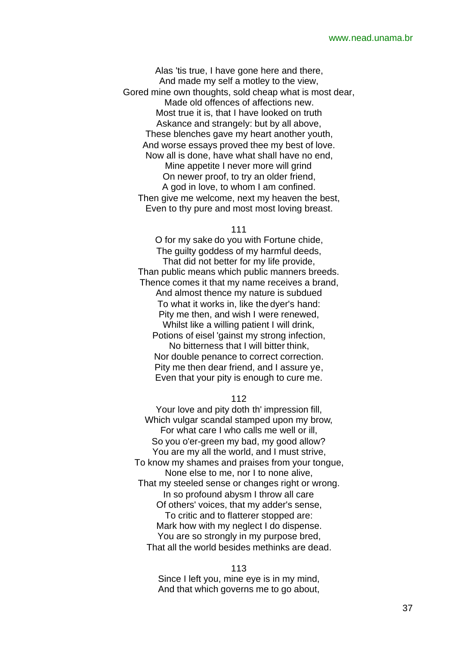Alas 'tis true, I have gone here and there, And made my self a motley to the view, Gored mine own thoughts, sold cheap what is most dear, Made old offences of affections new. Most true it is, that I have looked on truth Askance and strangely: but by all above, These blenches gave my heart another youth, And worse essays proved thee my best of love. Now all is done, have what shall have no end, Mine appetite I never more will grind On newer proof, to try an older friend, A god in love, to whom I am confined. Then give me welcome, next my heaven the best, Even to thy pure and most most loving breast.

## 111

O for my sake do you with Fortune chide, The guilty goddess of my harmful deeds, That did not better for my life provide, Than public means which public manners breeds. Thence comes it that my name receives a brand, And almost thence my nature is subdued To what it works in, like the dyer's hand: Pity me then, and wish I were renewed, Whilst like a willing patient I will drink, Potions of eisel 'gainst my strong infection, No bitterness that I will bitter think, Nor double penance to correct correction. Pity me then dear friend, and I assure ye, Even that your pity is enough to cure me.

## 112

Your love and pity doth th' impression fill, Which vulgar scandal stamped upon my brow, For what care I who calls me well or ill, So you o'er-green my bad, my good allow? You are my all the world, and I must strive, To know my shames and praises from your tongue, None else to me, nor I to none alive, That my steeled sense or changes right or wrong. In so profound abysm I throw all care Of others' voices, that my adder's sense, To critic and to flatterer stopped are: Mark how with my neglect I do dispense. You are so strongly in my purpose bred, That all the world besides methinks are dead.

#### 113

Since I left you, mine eye is in my mind, And that which governs me to go about,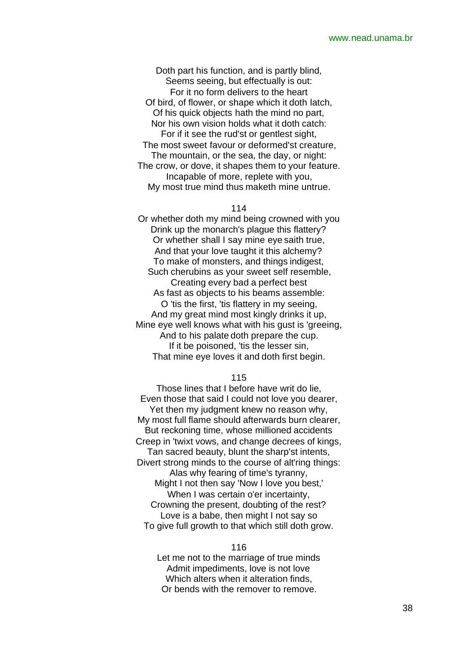Doth part his function, and is partly blind, Seems seeing, but effectually is out: For it no form delivers to the heart Of bird, of flower, or shape which it doth latch, Of his quick objects hath the mind no part, Nor his own vision holds what it doth catch: For if it see the rud'st or gentlest sight, The most sweet favour or deformed'st creature, The mountain, or the sea, the day, or night: The crow, or dove, it shapes them to your feature. Incapable of more, replete with you, My most true mind thus maketh mine untrue.

## 114

Or whether doth my mind being crowned with you Drink up the monarch's plague this flattery? Or whether shall I say mine eye saith true, And that your love taught it this alchemy? To make of monsters, and things indigest, Such cherubins as your sweet self resemble, Creating every bad a perfect best As fast as objects to his beams assemble: O 'tis the first, 'tis flattery in my seeing, And my great mind most kingly drinks it up, Mine eye well knows what with his gust is 'greeing, And to his palate doth prepare the cup. If it be poisoned, 'tis the lesser sin, That mine eye loves it and doth first begin.

## 115

Those lines that I before have writ do lie, Even those that said I could not love you dearer, Yet then my judgment knew no reason why, My most full flame should afterwards burn clearer, But reckoning time, whose millioned accidents Creep in 'twixt vows, and change decrees of kings, Tan sacred beauty, blunt the sharp'st intents, Divert strong minds to the course of alt'ring things: Alas why fearing of time's tyranny, Might I not then say 'Now I love you best,' When I was certain o'er incertainty, Crowning the present, doubting of the rest? Love is a babe, then might I not say so To give full growth to that which still doth grow.

#### 116

Let me not to the marriage of true minds Admit impediments, love is not love Which alters when it alteration finds. Or bends with the remover to remove.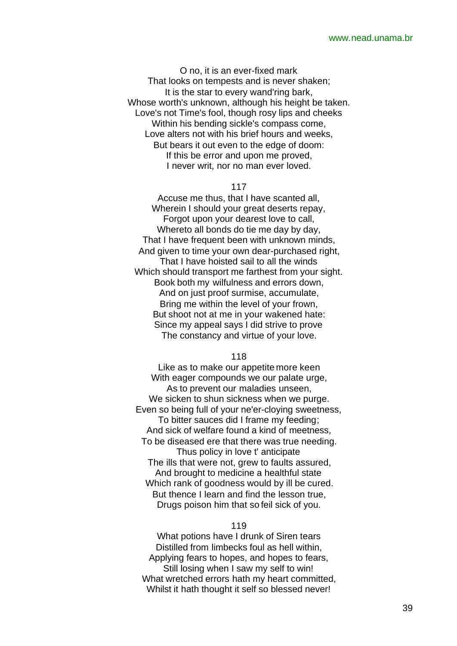O no, it is an ever-fixed mark That looks on tempests and is never shaken; It is the star to every wand'ring bark, Whose worth's unknown, although his height be taken. Love's not Time's fool, though rosy lips and cheeks Within his bending sickle's compass come, Love alters not with his brief hours and weeks, But bears it out even to the edge of doom: If this be error and upon me proved, I never writ, nor no man ever loved.

#### 117

Accuse me thus, that I have scanted all, Wherein I should your great deserts repay, Forgot upon your dearest love to call, Whereto all bonds do tie me day by day, That I have frequent been with unknown minds, And given to time your own dear-purchased right, That I have hoisted sail to all the winds Which should transport me farthest from your sight. Book both my wilfulness and errors down, And on just proof surmise, accumulate, Bring me within the level of your frown, But shoot not at me in your wakened hate: Since my appeal says I did strive to prove The constancy and virtue of your love.

## 118

Like as to make our appetite more keen With eager compounds we our palate urge, As to prevent our maladies unseen, We sicken to shun sickness when we purge. Even so being full of your ne'er-cloying sweetness, To bitter sauces did I frame my feeding; And sick of welfare found a kind of meetness, To be diseased ere that there was true needing. Thus policy in love t' anticipate The ills that were not, grew to faults assured, And brought to medicine a healthful state Which rank of goodness would by ill be cured. But thence I learn and find the lesson true, Drugs poison him that so feil sick of you.

## 119

What potions have I drunk of Siren tears Distilled from limbecks foul as hell within, Applying fears to hopes, and hopes to fears, Still losing when I saw my self to win! What wretched errors hath my heart committed, Whilst it hath thought it self so blessed never!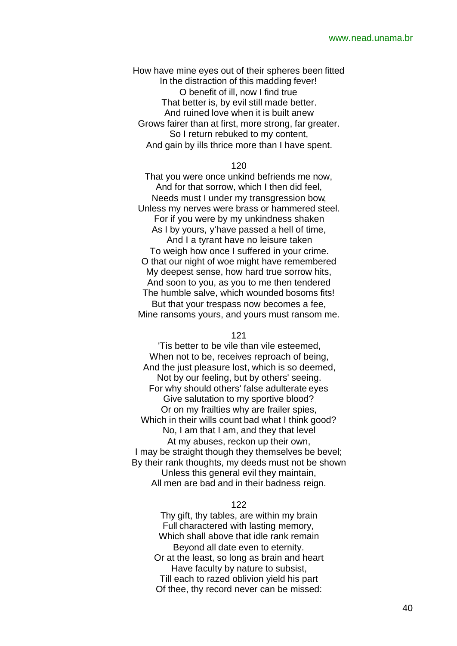How have mine eyes out of their spheres been fitted In the distraction of this madding fever! O benefit of ill, now I find true That better is, by evil still made better. And ruined love when it is built anew Grows fairer than at first, more strong, far greater. So I return rebuked to my content, And gain by ills thrice more than I have spent.

#### 120

That you were once unkind befriends me now, And for that sorrow, which I then did feel, Needs must I under my transgression bow, Unless my nerves were brass or hammered steel. For if you were by my unkindness shaken As I by yours, y'have passed a hell of time, And I a tyrant have no leisure taken To weigh how once I suffered in your crime. O that our night of woe might have remembered My deepest sense, how hard true sorrow hits, And soon to you, as you to me then tendered The humble salve, which wounded bosoms fits! But that your trespass now becomes a fee, Mine ransoms yours, and yours must ransom me.

#### 121

'Tis better to be vile than vile esteemed, When not to be, receives reproach of being, And the just pleasure lost, which is so deemed, Not by our feeling, but by others' seeing. For why should others' false adulterate eyes Give salutation to my sportive blood? Or on my frailties why are frailer spies, Which in their wills count bad what I think good? No, I am that I am, and they that level At my abuses, reckon up their own, I may be straight though they themselves be bevel; By their rank thoughts, my deeds must not be shown Unless this general evil they maintain, All men are bad and in their badness reign.

## 122

Thy gift, thy tables, are within my brain Full charactered with lasting memory, Which shall above that idle rank remain Beyond all date even to eternity. Or at the least, so long as brain and heart Have faculty by nature to subsist, Till each to razed oblivion yield his part Of thee, thy record never can be missed: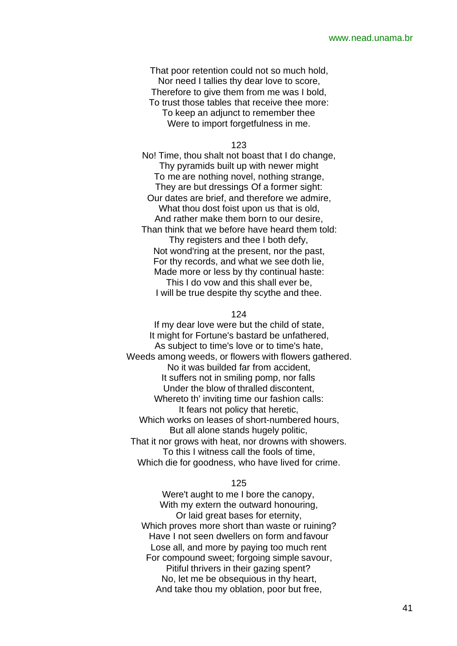That poor retention could not so much hold, Nor need I tallies thy dear love to score, Therefore to give them from me was I bold, To trust those tables that receive thee more:

To keep an adjunct to remember thee Were to import forgetfulness in me.

123

No! Time, thou shalt not boast that I do change, Thy pyramids built up with newer might To me are nothing novel, nothing strange, They are but dressings Of a former sight: Our dates are brief, and therefore we admire, What thou dost foist upon us that is old, And rather make them born to our desire, Than think that we before have heard them told: Thy registers and thee I both defy, Not wond'ring at the present, nor the past, For thy records, and what we see doth lie, Made more or less by thy continual haste: This I do vow and this shall ever be, I will be true despite thy scythe and thee.

## 124

If my dear love were but the child of state, It might for Fortune's bastard be unfathered, As subject to time's love or to time's hate, Weeds among weeds, or flowers with flowers gathered. No it was builded far from accident, It suffers not in smiling pomp, nor falls Under the blow of thralled discontent, Whereto th' inviting time our fashion calls: It fears not policy that heretic, Which works on leases of short-numbered hours, But all alone stands hugely politic, That it nor grows with heat, nor drowns with showers. To this I witness call the fools of time, Which die for goodness, who have lived for crime.

125

Were't aught to me I bore the canopy, With my extern the outward honouring, Or laid great bases for eternity, Which proves more short than waste or ruining? Have I not seen dwellers on form and favour Lose all, and more by paying too much rent For compound sweet; forgoing simple savour, Pitiful thrivers in their gazing spent? No, let me be obsequious in thy heart, And take thou my oblation, poor but free,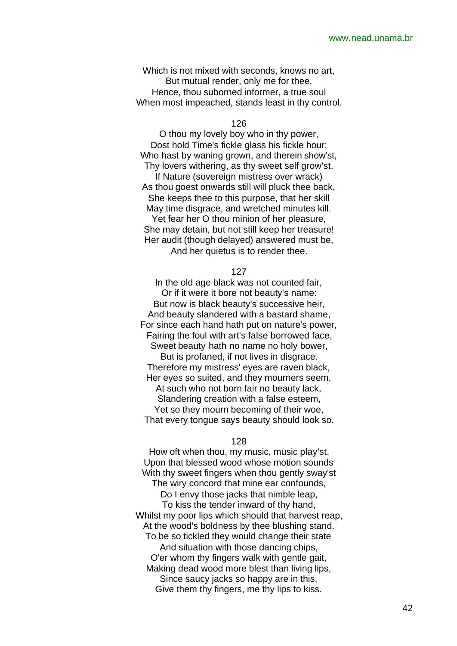Which is not mixed with seconds, knows no art, But mutual render, only me for thee. Hence, thou suborned informer, a true soul When most impeached, stands least in thy control.

## 126

O thou my lovely boy who in thy power, Dost hold Time's fickle glass his fickle hour: Who hast by waning grown, and therein show'st, Thy lovers withering, as thy sweet self grow'st. If Nature (sovereign mistress over wrack) As thou goest onwards still will pluck thee back, She keeps thee to this purpose, that her skill May time disgrace, and wretched minutes kill. Yet fear her O thou minion of her pleasure, She may detain, but not still keep her treasure! Her audit (though delayed) answered must be, And her quietus is to render thee.

## 127

In the old age black was not counted fair, Or if it were it bore not beauty's name: But now is black beauty's successive heir, And beauty slandered with a bastard shame, For since each hand hath put on nature's power, Fairing the foul with art's false borrowed face, Sweet beauty hath no name no holy bower, But is profaned, if not lives in disgrace. Therefore my mistress' eyes are raven black, Her eyes so suited, and they mourners seem, At such who not born fair no beauty lack, Slandering creation with a false esteem, Yet so they mourn becoming of their woe, That every tongue says beauty should look so.

## 128

How oft when thou, my music, music play'st, Upon that blessed wood whose motion sounds With thy sweet fingers when thou gently sway'st The wiry concord that mine ear confounds, Do I envy those jacks that nimble leap, To kiss the tender inward of thy hand, Whilst my poor lips which should that harvest reap, At the wood's boldness by thee blushing stand. To be so tickled they would change their state And situation with those dancing chips, O'er whom thy fingers walk with gentle gait, Making dead wood more blest than living lips, Since saucy jacks so happy are in this, Give them thy fingers, me thy lips to kiss.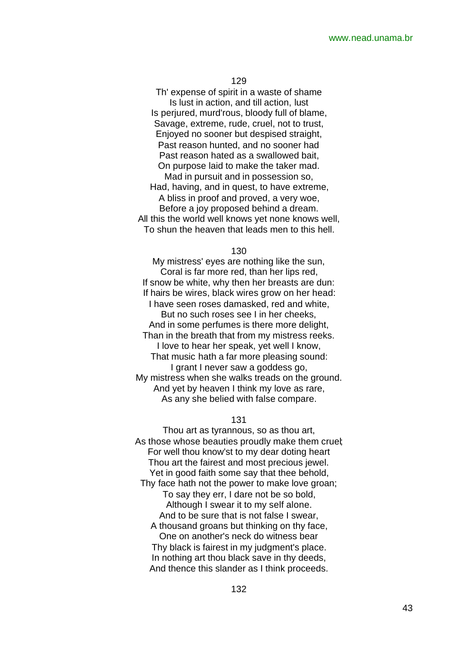129

Th' expense of spirit in a waste of shame Is lust in action, and till action, lust Is perjured, murd'rous, bloody full of blame, Savage, extreme, rude, cruel, not to trust, Enjoyed no sooner but despised straight, Past reason hunted, and no sooner had Past reason hated as a swallowed bait, On purpose laid to make the taker mad. Mad in pursuit and in possession so, Had, having, and in quest, to have extreme, A bliss in proof and proved, a very woe, Before a joy proposed behind a dream. All this the world well knows yet none knows well, To shun the heaven that leads men to this hell.

130

My mistress' eyes are nothing like the sun, Coral is far more red, than her lips red, If snow be white, why then her breasts are dun: If hairs be wires, black wires grow on her head: I have seen roses damasked, red and white,

But no such roses see I in her cheeks, And in some perfumes is there more delight, Than in the breath that from my mistress reeks. I love to hear her speak, yet well I know, That music hath a far more pleasing sound: I grant I never saw a goddess go, My mistress when she walks treads on the ground. And yet by heaven I think my love as rare, As any she belied with false compare.

## 131

Thou art as tyrannous, so as thou art, As those whose beauties proudly make them cruel; For well thou know'st to my dear doting heart Thou art the fairest and most precious jewel. Yet in good faith some say that thee behold, Thy face hath not the power to make love groan; To say they err, I dare not be so bold, Although I swear it to my self alone. And to be sure that is not false I swear, A thousand groans but thinking on thy face, One on another's neck do witness bear Thy black is fairest in my judgment's place. In nothing art thou black save in thy deeds,

And thence this slander as I think proceeds.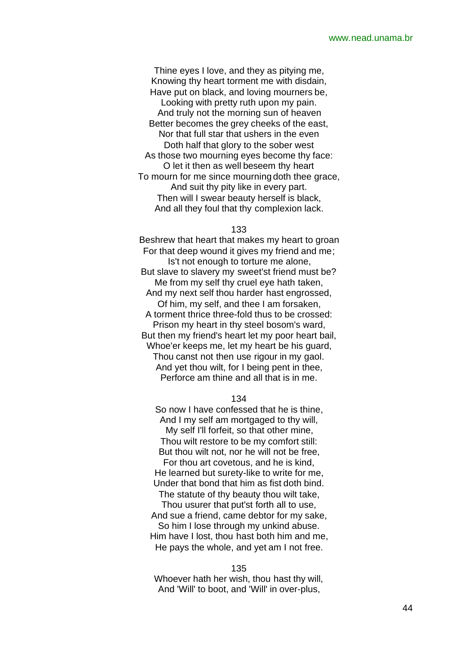Thine eyes I love, and they as pitying me, Knowing thy heart torment me with disdain, Have put on black, and loving mourners be, Looking with pretty ruth upon my pain. And truly not the morning sun of heaven Better becomes the grey cheeks of the east, Nor that full star that ushers in the even Doth half that glory to the sober west As those two mourning eyes become thy face: O let it then as well beseem thy heart To mourn for me since mourning doth thee grace, And suit thy pity like in every part. Then will I swear beauty herself is black, And all they foul that thy complexion lack.

133

Beshrew that heart that makes my heart to groan For that deep wound it gives my friend and me; Is't not enough to torture me alone, But slave to slavery my sweet'st friend must be? Me from my self thy cruel eye hath taken, And my next self thou harder hast engrossed, Of him, my self, and thee I am forsaken, A torment thrice three-fold thus to be crossed: Prison my heart in thy steel bosom's ward, But then my friend's heart let my poor heart bail, Whoe'er keeps me, let my heart be his guard, Thou canst not then use rigour in my gaol. And yet thou wilt, for I being pent in thee, Perforce am thine and all that is in me.

## 134

So now I have confessed that he is thine, And I my self am mortgaged to thy will, My self I'll forfeit, so that other mine, Thou wilt restore to be my comfort still: But thou wilt not, nor he will not be free,

For thou art covetous, and he is kind, He learned but surety-like to write for me, Under that bond that him as fist doth bind. The statute of thy beauty thou wilt take,

Thou usurer that put'st forth all to use, And sue a friend, came debtor for my sake, So him I lose through my unkind abuse. Him have I lost, thou hast both him and me, He pays the whole, and yet am I not free.

## 135

Whoever hath her wish, thou hast thy will, And 'Will' to boot, and 'Will' in over-plus,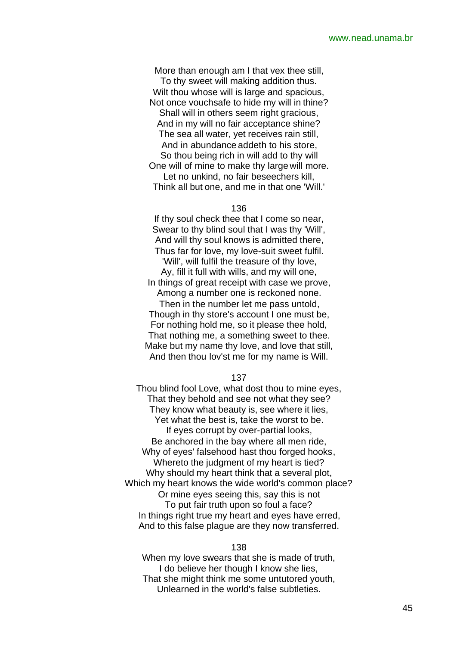More than enough am I that vex thee still, To thy sweet will making addition thus. Wilt thou whose will is large and spacious. Not once vouchsafe to hide my will in thine? Shall will in others seem right gracious,

And in my will no fair acceptance shine? The sea all water, yet receives rain still, And in abundance addeth to his store, So thou being rich in will add to thy will One will of mine to make thy large will more.

Let no unkind, no fair beseechers kill, Think all but one, and me in that one 'Will.'

## 136

If thy soul check thee that I come so near, Swear to thy blind soul that I was thy 'Will', And will thy soul knows is admitted there, Thus far for love, my love-suit sweet fulfil.

'Will', will fulfil the treasure of thy love, Ay, fill it full with wills, and my will one, In things of great receipt with case we prove,

Among a number one is reckoned none. Then in the number let me pass untold, Though in thy store's account I one must be, For nothing hold me, so it please thee hold, That nothing me, a something sweet to thee. Make but my name thy love, and love that still, And then thou lov'st me for my name is Will.

#### 137

Thou blind fool Love, what dost thou to mine eyes, That they behold and see not what they see? They know what beauty is, see where it lies, Yet what the best is, take the worst to be. If eyes corrupt by over-partial looks, Be anchored in the bay where all men ride, Why of eyes' falsehood hast thou forged hooks, Whereto the judgment of my heart is tied? Why should my heart think that a several plot, Which my heart knows the wide world's common place? Or mine eyes seeing this, say this is not To put fair truth upon so foul a face? In things right true my heart and eyes have erred,

And to this false plague are they now transferred.

## 138

When my love swears that she is made of truth, I do believe her though I know she lies, That she might think me some untutored youth, Unlearned in the world's false subtleties.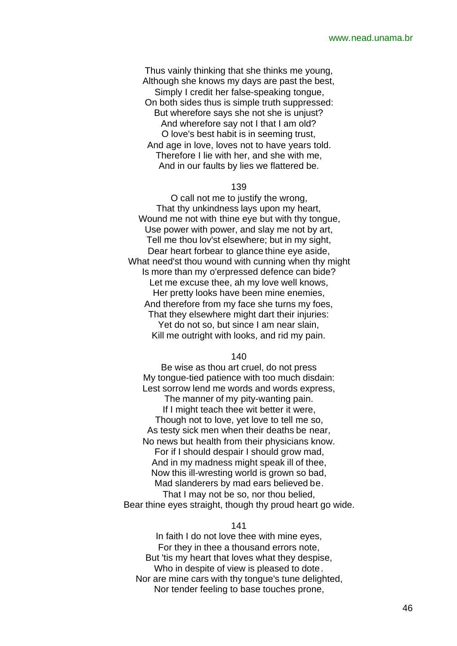Thus vainly thinking that she thinks me young, Although she knows my days are past the best, Simply I credit her false-speaking tongue, On both sides thus is simple truth suppressed: But wherefore says she not she is unjust? And wherefore say not I that I am old? O love's best habit is in seeming trust, And age in love, loves not to have years told. Therefore I lie with her, and she with me, And in our faults by lies we flattered be.

#### 139

O call not me to justify the wrong, That thy unkindness lays upon my heart, Wound me not with thine eye but with thy tongue, Use power with power, and slay me not by art, Tell me thou lov'st elsewhere; but in my sight, Dear heart forbear to glance thine eye aside, What need'st thou wound with cunning when thy might Is more than my o'erpressed defence can bide? Let me excuse thee, ah my love well knows, Her pretty looks have been mine enemies, And therefore from my face she turns my foes, That they elsewhere might dart their injuries: Yet do not so, but since I am near slain, Kill me outright with looks, and rid my pain.

## 140

Be wise as thou art cruel, do not press My tongue-tied patience with too much disdain: Lest sorrow lend me words and words express, The manner of my pity-wanting pain.

If I might teach thee wit better it were, Though not to love, yet love to tell me so, As testy sick men when their deaths be near, No news but health from their physicians know. For if I should despair I should grow mad, And in my madness might speak ill of thee, Now this ill-wresting world is grown so bad, Mad slanderers by mad ears believed be. That I may not be so, nor thou belied,

Bear thine eyes straight, though thy proud heart go wide.

## 141

In faith I do not love thee with mine eyes, For they in thee a thousand errors note, But 'tis my heart that loves what they despise, Who in despite of view is pleased to dote. Nor are mine cars with thy tongue's tune delighted, Nor tender feeling to base touches prone,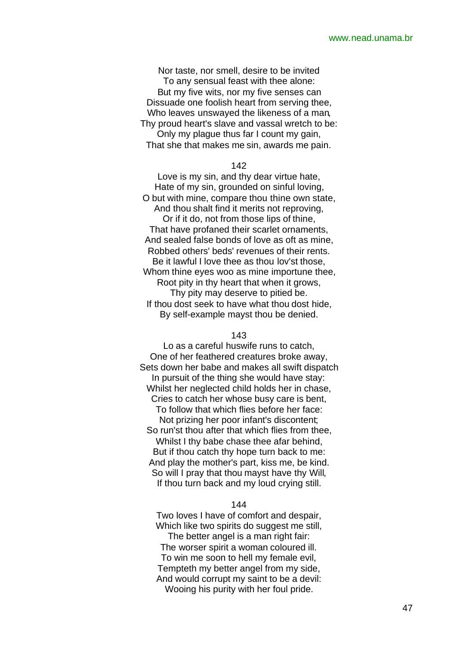Nor taste, nor smell, desire to be invited To any sensual feast with thee alone: But my five wits, nor my five senses can Dissuade one foolish heart from serving thee, Who leaves unswayed the likeness of a man, Thy proud heart's slave and vassal wretch to be: Only my plague thus far I count my gain, That she that makes me sin, awards me pain.

#### 142

Love is my sin, and thy dear virtue hate, Hate of my sin, grounded on sinful loving, O but with mine, compare thou thine own state, And thou shalt find it merits not reproving, Or if it do, not from those lips of thine, That have profaned their scarlet ornaments, And sealed false bonds of love as oft as mine, Robbed others' beds' revenues of their rents. Be it lawful I love thee as thou lov'st those, Whom thine eyes woo as mine importune thee, Root pity in thy heart that when it grows, Thy pity may deserve to pitied be. If thou dost seek to have what thou dost hide, By self-example mayst thou be denied.

## 143

Lo as a careful huswife runs to catch, One of her feathered creatures broke away, Sets down her babe and makes all swift dispatch In pursuit of the thing she would have stay: Whilst her neglected child holds her in chase, Cries to catch her whose busy care is bent, To follow that which flies before her face: Not prizing her poor infant's discontent; So run'st thou after that which flies from thee, Whilst I thy babe chase thee afar behind. But if thou catch thy hope turn back to me: And play the mother's part, kiss me, be kind. So will I pray that thou mayst have thy Will, If thou turn back and my loud crying still.

## 144

Two loves I have of comfort and despair, Which like two spirits do suggest me still,

The better angel is a man right fair: The worser spirit a woman coloured ill. To win me soon to hell my female evil, Tempteth my better angel from my side, And would corrupt my saint to be a devil: Wooing his purity with her foul pride.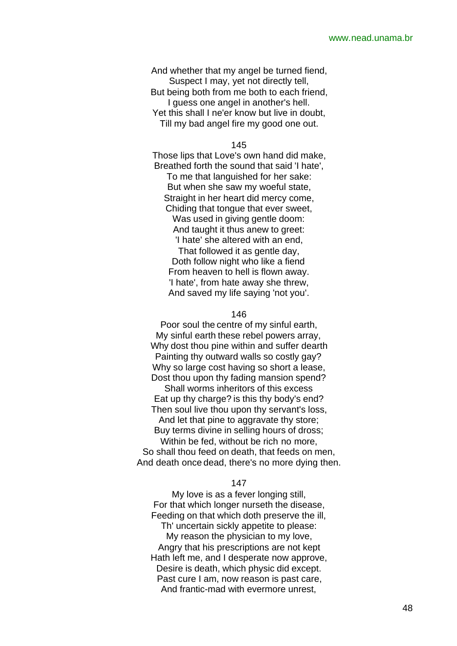And whether that my angel be turned fiend, Suspect I may, yet not directly tell, But being both from me both to each friend, I guess one angel in another's hell. Yet this shall I ne'er know but live in doubt, Till my bad angel fire my good one out.

145

Those lips that Love's own hand did make, Breathed forth the sound that said 'I hate', To me that languished for her sake:

But when she saw my woeful state, Straight in her heart did mercy come. Chiding that tongue that ever sweet, Was used in giving gentle doom: And taught it thus anew to greet: 'I hate' she altered with an end,

That followed it as gentle day, Doth follow night who like a fiend From heaven to hell is flown away. 'I hate', from hate away she threw, And saved my life saying 'not you'.

## 146

Poor soul the centre of my sinful earth, My sinful earth these rebel powers array, Why dost thou pine within and suffer dearth Painting thy outward walls so costly gay? Why so large cost having so short a lease, Dost thou upon thy fading mansion spend?

Shall worms inheritors of this excess Eat up thy charge? is this thy body's end? Then soul live thou upon thy servant's loss, And let that pine to aggravate thy store;

Buy terms divine in selling hours of dross; Within be fed, without be rich no more. So shall thou feed on death, that feeds on men,

And death once dead, there's no more dying then.

## 147

My love is as a fever longing still, For that which longer nurseth the disease, Feeding on that which doth preserve the ill, Th' uncertain sickly appetite to please: My reason the physician to my love, Angry that his prescriptions are not kept Hath left me, and I desperate now approve, Desire is death, which physic did except. Past cure I am, now reason is past care, And frantic-mad with evermore unrest,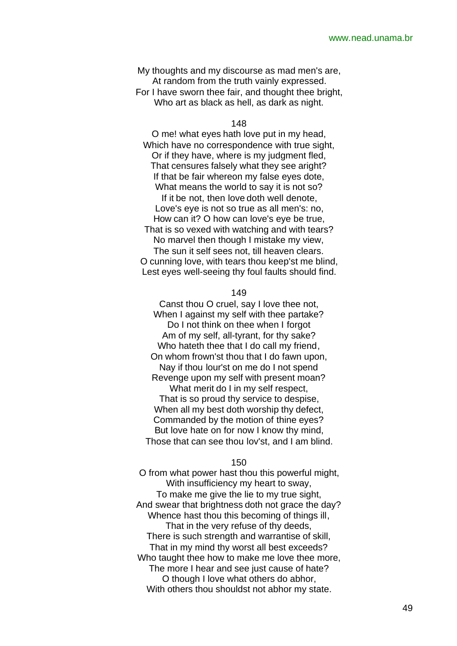My thoughts and my discourse as mad men's are, At random from the truth vainly expressed.

For I have sworn thee fair, and thought thee bright, Who art as black as hell, as dark as night.

148

O me! what eyes hath love put in my head, Which have no correspondence with true sight, Or if they have, where is my judgment fled, That censures falsely what they see aright? If that be fair whereon my false eyes dote, What means the world to say it is not so? If it be not, then love doth well denote, Love's eye is not so true as all men's: no, How can it? O how can love's eye be true, That is so vexed with watching and with tears? No marvel then though I mistake my view, The sun it self sees not, till heaven clears. O cunning love, with tears thou keep'st me blind, Lest eyes well-seeing thy foul faults should find.

## 149

Canst thou O cruel, say I love thee not, When I against my self with thee partake? Do I not think on thee when I forgot Am of my self, all-tyrant, for thy sake? Who hateth thee that I do call my friend, On whom frown'st thou that I do fawn upon, Nay if thou lour'st on me do I not spend Revenge upon my self with present moan? What merit do I in my self respect, That is so proud thy service to despise, When all my best doth worship thy defect, Commanded by the motion of thine eyes? But love hate on for now I know thy mind, Those that can see thou lov'st, and I am blind.

#### 150

O from what power hast thou this powerful might, With insufficiency my heart to sway, To make me give the lie to my true sight, And swear that brightness doth not grace the day? Whence hast thou this becoming of things ill, That in the very refuse of thy deeds, There is such strength and warrantise of skill, That in my mind thy worst all best exceeds? Who taught thee how to make me love thee more, The more I hear and see just cause of hate? O though I love what others do abhor, With others thou shouldst not abhor my state.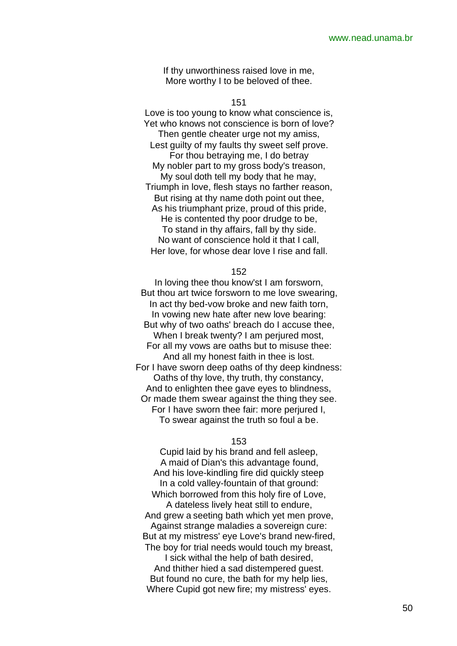If thy unworthiness raised love in me, More worthy I to be beloved of thee.

151

Love is too young to know what conscience is, Yet who knows not conscience is born of love? Then gentle cheater urge not my amiss, Lest guilty of my faults thy sweet self prove. For thou betraying me, I do betray My nobler part to my gross body's treason, My soul doth tell my body that he may, Triumph in love, flesh stays no farther reason, But rising at thy name doth point out thee, As his triumphant prize, proud of this pride, He is contented thy poor drudge to be, To stand in thy affairs, fall by thy side. No want of conscience hold it that I call, Her love, for whose dear love I rise and fall.

#### 152

In loving thee thou know'st I am forsworn, But thou art twice forsworn to me love swearing, In act thy bed-vow broke and new faith torn, In vowing new hate after new love bearing: But why of two oaths' breach do I accuse thee, When I break twenty? I am perjured most, For all my vows are oaths but to misuse thee: And all my honest faith in thee is lost. For I have sworn deep oaths of thy deep kindness: Oaths of thy love, thy truth, thy constancy, And to enlighten thee gave eyes to blindness, Or made them swear against the thing they see. For I have sworn thee fair: more perjured I, To swear against the truth so foul a be.

## 153

Cupid laid by his brand and fell asleep, A maid of Dian's this advantage found, And his love-kindling fire did quickly steep In a cold valley-fountain of that ground: Which borrowed from this holy fire of Love, A dateless lively heat still to endure, And grew a seeting bath which yet men prove, Against strange maladies a sovereign cure: But at my mistress' eye Love's brand new-fired, The boy for trial needs would touch my breast, I sick withal the help of bath desired,

And thither hied a sad distempered guest. But found no cure, the bath for my help lies, Where Cupid got new fire; my mistress' eyes.